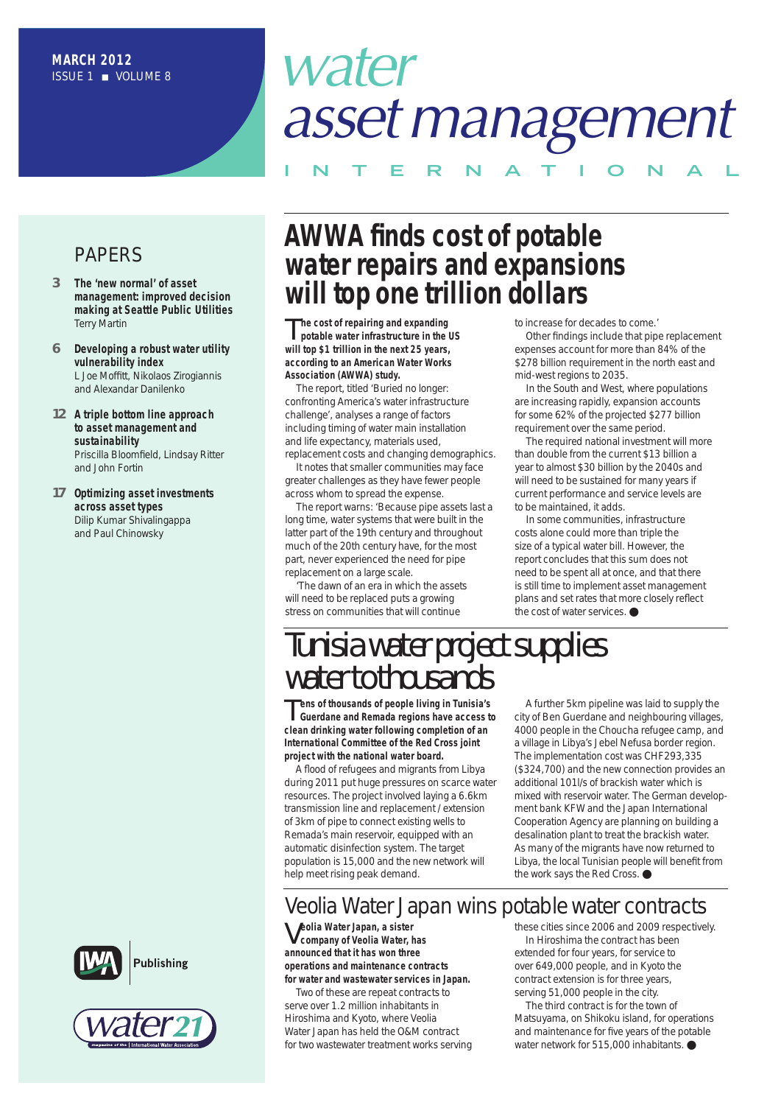# *water assetmanagement*

**I N T E R N A T I O N A L**

### PAPERS

- *3* **The 'new normal' of asset management: improved decision making at Seattle Public Utilities** Terry Martin
- *6* **Developing a robust water utility vulnerability index** L Joe Moffitt, Nikolaos Zirogiannis and Alexandar Danilenko
- *12* **A triple bottom line approach to asset management and sustainability** Priscilla Bloomfield, Lindsay Ritter and John Fortin
- *17* **Optimizing asset investments across asset types** Dilip Kumar Shivalingappa and Paul Chinowsky

## **AWWA finds cost of potable water repairs and expansions will top one trillion dollars**

T**he cost of repairing and expanding potable water infrastructure in the US will top \$1 trillion in the next 25 years, according to an American Water Works Association (AWWA) study.**

The report, titled 'Buried no longer: confronting America's water infrastructure challenge', analyses a range of factors including timing of water main installation and life expectancy, materials used, replacement costs and changing demographics.

It notes that smaller communities may face greater challenges as they have fewer people across whom to spread the expense.

The report warns: 'Because pipe assets last a long time, water systems that were built in the latter part of the 19th century and throughout much of the 20th century have, for the most part, never experienced the need for pipe replacement on a large scale.

'The dawn of an era in which the assets will need to be replaced puts a growing stress on communities that will continue

to increase for decades to come.'

Other findings include that pipe replacement expenses account for more than 84% of the \$278 billion requirement in the north east and mid-west regions to 2035.

In the South and West, where populations are increasing rapidly, expansion accounts for some 62% of the projected \$277 billion requirement over the same period.

The required national investment will more than double from the current \$13 billion a year to almost \$30 billion by the 2040s and will need to be sustained for many years if current performance and service levels are to be maintained, it adds.

In some communities, infrastructure costs alone could more than triple the size of a typical water bill. However, the report concludes that this sum does not need to be spent all at once, and that there is still time to implement asset management plans and set rates that more closely reflect the cost of water services. ●

## *Tunisia water projectsupplies* water to thousands

T**ens of thousands of people living in Tunisia's Guerdane and Remada regions have access to clean drinking water following completion of an International Committee of the Red Cross joint project with the national water board.**

A flood of refugees and migrants from Libya during 2011 put huge pressures on scarce water resources. The project involved laying a 6.6km transmission line and replacement / extension of 3km of pipe to connect existing wells to Remada's main reservoir, equipped with an automatic disinfection system. The target population is 15,000 and the new network will help meet rising peak demand.

A further 5km pipeline was laid to supply the city of Ben Guerdane and neighbouring villages, 4000 people in the Choucha refugee camp, and a village in Libya's Jebel Nefusa border region. The implementation cost was CHF293,335 (\$324,700) and the new connection provides an additional 101l/s of brackish water which is mixed with reservoir water. The German development bank KFW and the Japan International Cooperation Agency are planning on building a desalination plant to treat the brackish water. As many of the migrants have now returned to Libya, the local Tunisian people will benefit from the work says the Red Cross. ●

### Veolia Water Japan wins potable water contracts

V**eolia Water Japan, <sup>a</sup> sister company of Veolia Water, has announced that it has won three operations and maintenance contracts for water and wastewater services in Japan.**

Two of these are repeat contracts to serve over 1.2 million inhabitants in Hiroshima and Kyoto, where Veolia Water Japan has held the O&M contract for two wastewater treatment works serving these cities since 2006 and 2009 respectively. In Hiroshima the contract has been extended for four years, for service to over 649,000 people, and in Kyoto the contract extension is for three years, serving 51,000 people in the city.

The third contract is for the town of Matsuyama, on Shikoku island, for operations and maintenance for five years of the potable water network for 515,000 inhabitants. ●



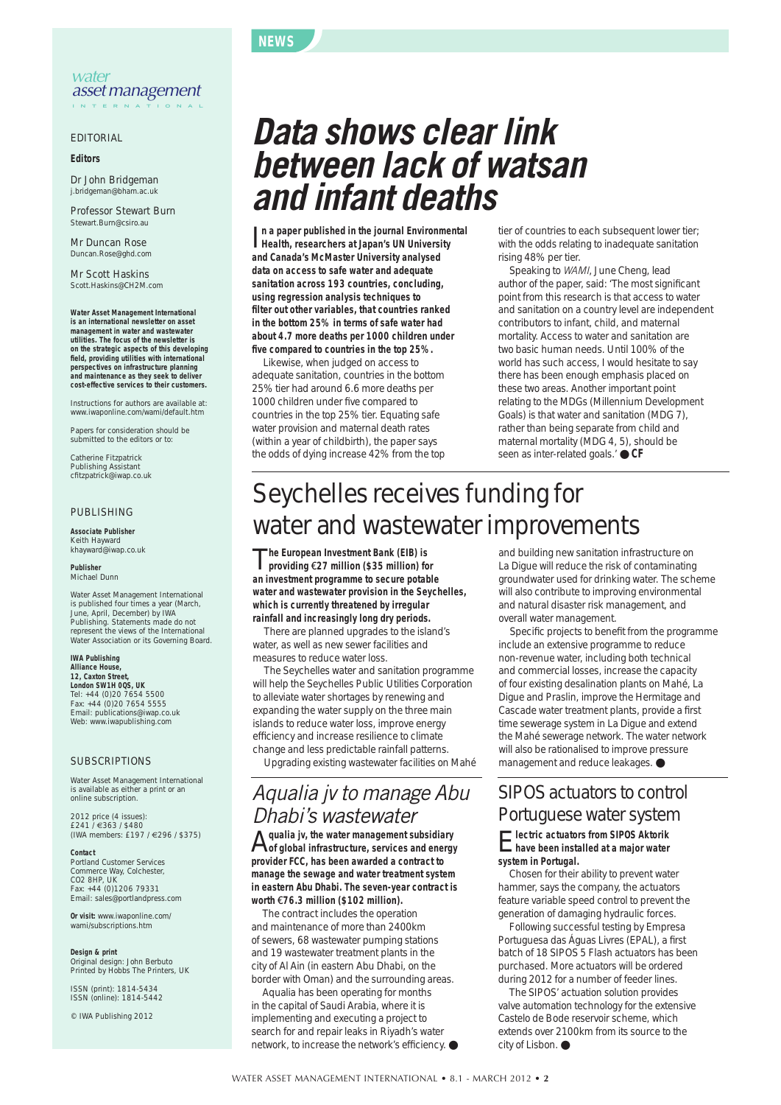#### **NEWS**

#### EDITORIAL

#### **Editors**

Dr John Bridgeman j.bridgeman@bham.ac.uk

Professor Stewart Burn Stewart.Burn@csiro.au

Mr Duncan Rose Duncan.Rose@ghd.com

Mr Scott Haskins Scott.Haskins@CH2M.com

**Water Asset Management International is an international newsletter on asset management in water and wastewater utilities. The focus of the newsletter is on the strategic aspects of this developing field, providing utilities with international perspectives on infrastructure planning and maintenance as they seek to deliver cost-effective services to their customers.**

Instructions for authors are available at: www.iwaponline.com/wami/default.htm

Papers for consideration should be submitted to the editors or to:

Catherine Fitzpatrick Publishing Assistant cfitzpatrick@iwap.co.uk

#### PUBLISHING

**Associate Publisher** Keith Hayward khayward@iwap.co.uk

**Publisher** Michael Dunn

Water Asset Management International is published four times a year (March, June, April, December) by IWA Publishing. Statements made do not represent the views of the International Water Association or its Governing Board.

#### **IWA Publishing Alliance House, 12, Caxton Street,**

**London SW1H 0QS, UK** Tel: +44 (0)20 7654 5500 Fax: +44 (0)20 7654 5555 Email: publications@iwap.co.uk Web: www.iwapublishing.com

#### SUBSCRIPTIONS

Water Asset Management International is available as either a print or an online subscription.

2012 price (4 issues): £241 / €363 / \$480 (IWA members: £197 / €296 / \$375)

#### **Contact**

Portland Customer Services Commerce Way, Colchester, CO2 8HP, UK Fax: +44 (0)1206 79331 Email: sales@portlandpress.com

**Or visit:** www.iwaponline.com/ wami/subscriptions.htm

**Design & print** Original design: John Berbuto Printed by Hobbs The Printers, UK

ISSN (print): 1814-5434 ISSN (online): 1814-5442

© IWA Publishing 2012

## *Data shows clear link between lack of watsan and infant deaths*

I **Health, researchers at Japan's UN University n a paper published in the journal Environmental and Canada's McMaster University analysed data on access to safe water and adequate sanitation across 193 countries, concluding, using regression analysis techniques to filter out other variables, that countries ranked in the bottom 25% in terms of safe water had about 4.7 more deaths per 1000 children under five compared to countries in the top 25%.**

Likewise, when judged on access to adequate sanitation, countries in the bottom 25% tier had around 6.6 more deaths per 1000 children under five compared to countries in the top 25% tier. Equating safe water provision and maternal death rates (within a year of childbirth), the paper says the odds of dying increase 42% from the top tier of countries to each subsequent lower tier; with the odds relating to inadequate sanitation rising 48% per tier.

Speaking to *WAMI*, June Cheng, lead author of the paper, said: 'The most significant point from this research is that access to water and sanitation on a country level are independent contributors to infant, child, and maternal mortality. Access to water and sanitation are two basic human needs. Until 100% of the world has such access, I would hesitate to say there has been enough emphasis placed on these two areas. Another important point relating to the MDGs (Millennium Development Goals) is that water and sanitation (MDG 7), rather than being separate from child and maternal mortality (MDG 4, 5), should be seen as inter-related goals.' ● CF

## Seychelles receives funding for water and wastewater improvements

T**he European Investment Bank (EIB) is providing** €**27 million (\$35 million) for an investment programme to secure potable water and wastewater provision in the Seychelles, which is currently threatened by irregular rainfall and increasingly long dry periods.**

There are planned upgrades to the island's water, as well as new sewer facilities and measures to reduce water loss.

The Seychelles water and sanitation programme will help the Seychelles Public Utilities Corporation to alleviate water shortages by renewing and expanding the water supply on the three main islands to reduce water loss, improve energy efficiency and increase resilience to climate change and less predictable rainfall patterns. Upgrading existing wastewater facilities on Mahé

### *Aqualia jv to manage Abu Dhabi's wastewater*

A**qualia jv, the water management subsidiary of global infrastructure, services and energy provider FCC, has been awarded a contract to manage the sewage and water treatment system in eastern Abu Dhabi. The seven-year contract is worth** €**76.3 million (\$102 million).**

The contract includes the operation and maintenance of more than 2400km of sewers, 68 wastewater pumping stations and 19 wastewater treatment plants in the city of Al Ain (in eastern Abu Dhabi, on the border with Oman) and the surrounding areas.

Aqualia has been operating for months in the capital of Saudi Arabia, where it is implementing and executing a project to search for and repair leaks in Riyadh's water network, to increase the network's efficiency. ● and building new sanitation infrastructure on La Digue will reduce the risk of contaminating groundwater used for drinking water. The scheme will also contribute to improving environmental and natural disaster risk management, and overall water management.

Specific projects to benefit from the programme include an extensive programme to reduce non-revenue water, including both technical and commercial losses, increase the capacity of four existing desalination plants on Mahé, La Digue and Praslin, improve the Hermitage and Cascade water treatment plants, provide a first time sewerage system in La Digue and extend the Mahé sewerage network. The water network will also be rationalised to improve pressure management and reduce leakages. ●

### SIPOS actuators to control Portuguese water system

#### E**lectric actuators from SIPOS Aktorik have been installed at a major water system in Portugal.**

Chosen for their ability to prevent water hammer, says the company, the actuators feature variable speed control to prevent the generation of damaging hydraulic forces.

Following successful testing by Empresa Portuguesa das Águas Livres (EPAL), a first batch of 18 SIPOS 5 Flash actuators has been purchased. More actuators will be ordered during 2012 for a number of feeder lines.

The SIPOS' actuation solution provides valve automation technology for the extensive Castelo de Bode reservoir scheme, which extends over 2100km from its source to the city of Lisbon. ●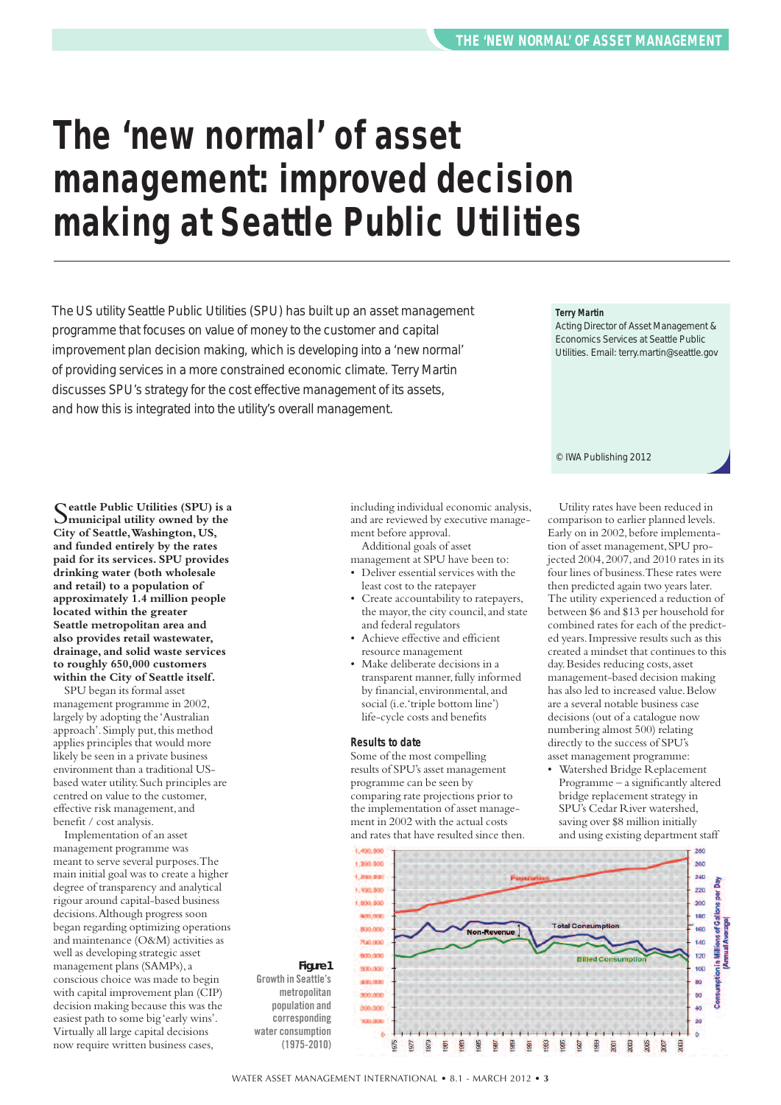## **The 'new normal' of asset management: improved decision making at Seattle Public Utilities**

The US utility Seattle Public Utilities (SPU) has built up an asset management programme that focuses on value of money to the customer and capital improvement plan decision making, which is developing into a 'new normal' of providing services in a more constrained economic climate. Terry Martin discusses SPU's strategy for the cost effective management of its assets, and how this is integrated into the utility's overall management.

S**eattle Public Utilities (SPU) is <sup>a</sup> municipal utility owned by the City of Seattle,Washington, US, and funded entirely by the rates paid for its services. SPU provides drinking water (both wholesale and retail) to a population of approximately 1.4 million people located within the greater Seattle metropolitan area and also provides retail wastewater, drainage, and solid waste services to roughly 650,000 customers within the City of Seattle itself.**

SPU began its formal asset management programme in 2002, largely by adopting the 'Australian approach'. Simply put, this method applies principles that would more likely be seen in a private business environment than a traditional USbased water utility.Such principles are centred on value to the customer, effective risk management,and benefit / cost analysis.

Implementation of an asset management programme was meant to serve several purposes.The main initial goal was to create a higher degree of transparency and analytical rigour around capital-based business decisions.Although progress soon began regarding optimizing operations and maintenance (O&M) activities as well as developing strategic asset management plans (SAMPs),a conscious choice was made to begin with capital improvement plan (CIP) decision making because this was the easiest path to some big 'early wins'. Virtually all large capital decisions now require written business cases,

including individual economic analysis, and are reviewed by executive management before approval.

Additional goals of asset management at SPU have been to:

• Deliver essential services with the

- least cost to the ratepayer • Create accountability to ratepayers, the mayor, the city council, and state and federal regulators
- Achieve effective and efficient resource management
- Make deliberate decisions in a transparent manner, fully informed by financial, environmental,and social (i.e.'triple bottom line') life-cycle costs and benefits

#### **Results to date**

Some of the most compelling results of SPU's asset management programme can be seen by comparing rate projections prior to the implementation of asset management in 2002 with the actual costs and rates that have resulted since then.



Acting Director of Asset Management & Economics Services at Seattle Public Utilities. Email: terry.martin@seattle.gov

© IWA Publishing 2012

Utility rates have been reduced in comparison to earlier planned levels. Early on in 2002, before implementation of asset management,SPU projected 2004,2007,and 2010 rates in its four lines of business.These rates were then predicted again two years later. The utility experienced a reduction of between \$6 and \$13 per household for combined rates for each of the predicted years.Impressive results such as this created a mindset that continues to this day.Besides reducing costs,asset management-based decision making has also led to increased value. Below are a several notable business case decisions (out of a catalogue now numbering almost 500) relating directly to the success of SPU's asset management programme:

• Watershed Bridge Replacement Programme – a significantly altered bridge replacement strategy in SPU's Cedar River watershed, saving over \$8 million initially and using existing department staff



*Figure 1* **Growth in Seattle's metropolitan population and corresponding water consumption (1975-2010)**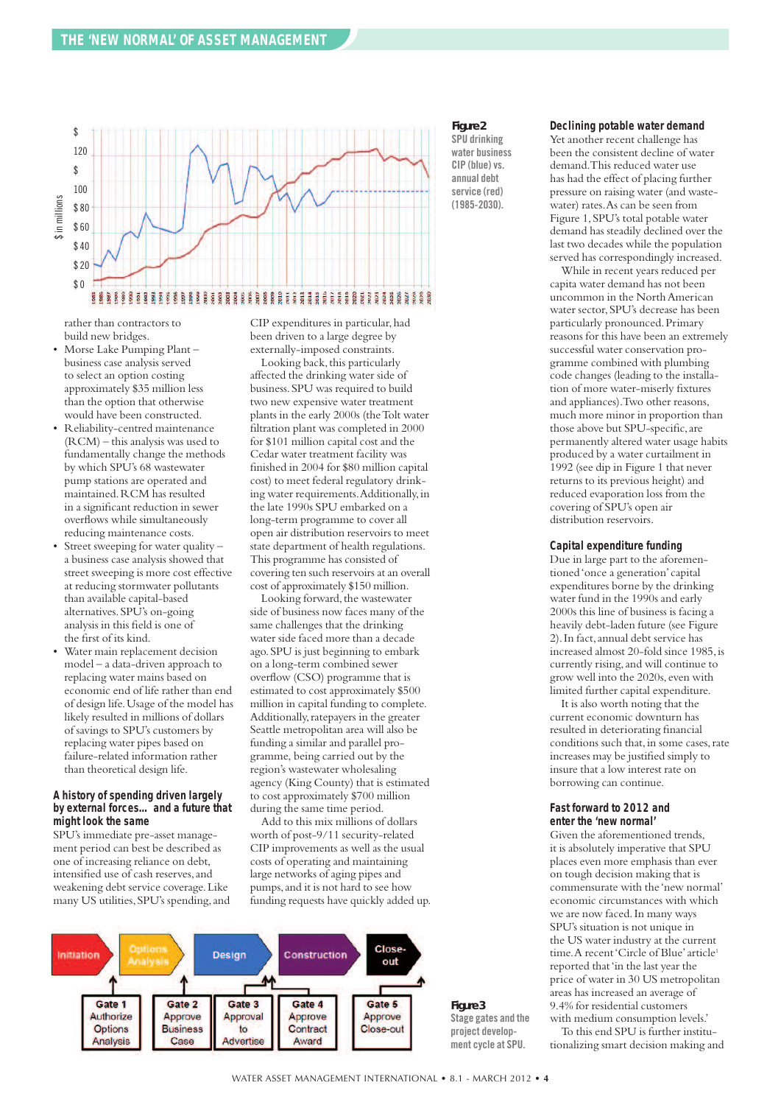

*Figure 2* **SPU drinking water business**  $CIP$  (blue) vs. **annual debt service (red)**

**(1985-2030).**

#### **Declining potable water demand**

Yet another recent challenge has been the consistent decline of water demand.This reduced water use has had the effect of placing further pressure on raising water (and wastewater) rates.As can be seen from Figure 1,SPU's total potable water demand has steadily declined over the last two decades while the population served has correspondingly increased.

While in recent years reduced per capita water demand has not been uncommon in the NorthAmerican water sector,SPU's decrease has been particularly pronounced.Primary reasons for this have been an extremely successful water conservation programme combined with plumbing code changes (leading to the installation of more water-miserly fixtures and appliances).Two other reasons, much more minor in proportion than those above but SPU-specific,are permanently altered water usage habits produced by a water curtailment in 1992 (see dip in Figure 1 that never returns to its previous height) and reduced evaporation loss from the covering of SPU's open air distribution reservoirs.

#### **Capital expenditure funding**

Due in large part to the aforementioned'once a generation' capital expenditures borne by the drinking water fund in the 1990s and early 2000s this line of business is facing a heavily debt-laden future (see Figure 2).In fact,annual debt service has increased almost 20-fold since 1985,is currently rising,and will continue to grow well into the 2020s, even with limited further capital expenditure.

It is also worth noting that the current economic downturn has resulted in deteriorating financial conditions such that, in some cases, rate increases may be justified simply to insure that a low interest rate on borrowing can continue.

#### **Fast forward to 2012 and enter the 'new normal'**

Given the aforementioned trends, it is absolutely imperative that SPU places even more emphasis than ever on tough decision making that is commensurate with the 'new normal' economic circumstances with which we are now faced.In many ways SPU's situation is not unique in the US water industry at the current time. A recent 'Circle of Blue' article<sup>1</sup> reported that'in the last year the price of water in 30 US metropolitan areas has increased an average of 9.4% for residential customers with medium consumption levels.'

To this end SPU is further institutionalizing smart decision making and

rather than contractors to build new bridges.

- Morse Lake Pumping Plant business case analysis served to select an option costing approximately \$35 million less than the option that otherwise would have been constructed.
- Reliability-centred maintenance (RCM) – this analysis was used to fundamentally change the methods by which SPU's 68 wastewater pump stations are operated and maintained.RCM has resulted in a significant reduction in sewer overflows while simultaneously reducing maintenance costs.
- Street sweeping for water quality a business case analysis showed that street sweeping is more cost effective at reducing stormwater pollutants than available capital-based alternatives.SPU's on-going analysis in this field is one of the first of its kind.
- Water main replacement decision model – a data-driven approach to replacing water mains based on economic end of life rather than end of design life.Usage of the model has likely resulted in millions of dollars of savings to SPU's customers by replacing water pipes based on failure-related information rather than theoretical design life.

#### **A history of spending driven largely by external forces… and a future that might look the same**

SPU's immediate pre-asset management period can best be described as one of increasing reliance on debt, intensified use of cash reserves,and weakening debt service coverage.Like many US utilities, SPU's spending, and CIP expenditures in particular, had been driven to a large degree by externally-imposed constraints.

Looking back, this particularly affected the drinking water side of business.SPU was required to build two new expensive water treatment plants in the early 2000s (theTolt water filtration plant was completed in 2000 for \$101 million capital cost and the Cedar water treatment facility was finished in 2004 for \$80 million capital cost) to meet federal regulatory drinking water requirements.Additionally,in the late 1990s SPU embarked on a long-term programme to cover all open air distribution reservoirs to meet state department of health regulations. This programme has consisted of covering ten such reservoirs at an overall cost of approximately \$150 million.

Looking forward, the wastewater side of business now faces many of the same challenges that the drinking water side faced more than a decade ago.SPU is just beginning to embark on a long-term combined sewer overflow (CSO) programme that is estimated to cost approximately \$500 million in capital funding to complete. Additionally,ratepayers in the greater Seattle metropolitan area will also be funding a similar and parallel programme, being carried out by the region's wastewater wholesaling agency (King County) that is estimated to cost approximately \$700 million during the same time period.

Add to this mix millions of dollars worth of post-9/11 security-related CIP improvements as well as the usual costs of operating and maintaining large networks of aging pipes and pumps,and it is not hard to see how funding requests have quickly added up.



WATER ASSET MANAGEMENT INTERNATIONAL • 8.1 - MARCH 2012 • **4**

*Figure 3* **Stage gates and the project development cycle at SPU.**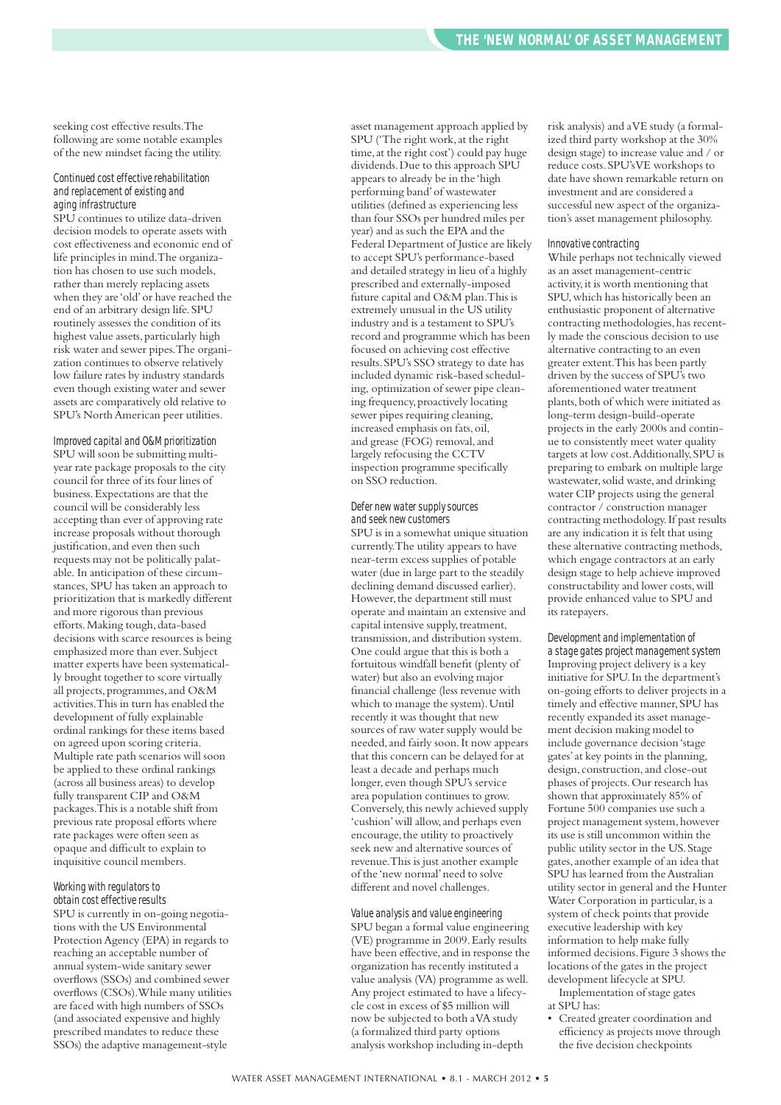seeking cost effective results.The following are some notable examples of the new mindset facing the utility.

#### $Continued cost effective rehabilitation$ *and replacementofexisting and aging infrastructure*

SPU continues to utilize data-driven decision models to operate assets with cost effectiveness and economic end of life principles in mind.The organization has chosen to use such models, rather than merely replacing assets when they are 'old'or have reached the end of an arbitrary design life.SPU routinely assesses the condition of its highest value assets, particularly high risk water and sewer pipes.The organization continues to observe relatively low failure rates by industry standards even though existing water and sewer assets are comparatively old relative to SPU's NorthAmerican peer utilities.

#### *Improved capital and O&M prioritization*

SPU will soon be submitting multiyear rate package proposals to the city council for three of its four lines of business.Expectations are that the council will be considerably less accepting than ever of approving rate increase proposals without thorough justification, and even then such requests may not be politically palatable. In anticipation of these circumstances, SPU has taken an approach to prioritization that is markedly different and more rigorous than previous efforts. Making tough, data-based decisions with scarce resources is being emphasized more than ever.Subject matter experts have been systematically brought together to score virtually all projects, programmes, and O&M activities.This in turn has enabled the development of fully explainable ordinal rankings for these items based on agreed upon scoring criteria. Multiple rate path scenarios will soon be applied to these ordinal rankings (across all business areas) to develop fully transparent CIP and O&M packages.This is a notable shift from previous rate proposal efforts where rate packages were often seen as opaque and difficult to explain to inquisitive council members.

#### *Working* with *regulators* to  $obtain cost effective results$

SPU is currently in on-going negotiations with the US Environmental Protection Agency (EPA) in regards to reaching an acceptable number of annual system-wide sanitary sewer overflows (SSOs) and combined sewer overflows (CSOs).While many utilities are faced with high numbers of SSOs (and associated expensive and highly prescribed mandates to reduce these SSOs) the adaptive management-style

asset management approach applied by SPU ('The right work, at the right time,at the right cost') could pay huge dividends.Due to this approach SPU appears to already be in the 'high performing band'of wastewater utilities (defined as experiencing less than four SSOs per hundred miles per year) and as such the EPA and the Federal Department of Justice are likely to accept SPU's performance-based and detailed strategy in lieu of a highly prescribed and externally-imposed future capital and O&M plan.This is extremely unusual in the US utility industry and is a testament to SPU's record and programme which has been focused on achieving cost effective results.SPU's SSO strategy to date has included dynamic risk-based scheduling, optimization of sewer pipe cleaning frequency,proactively locating sewer pipes requiring cleaning, increased emphasis on fats,oil, and grease (FOG) removal,and largely refocusing the CCTV inspection programme specifically on SSO reduction.

#### *Defer new watersupplysources and seek new customers*

SPU is in a somewhat unique situation currently.The utility appears to have near-term excess supplies of potable water (due in large part to the steadily declining demand discussed earlier). However, the department still must operate and maintain an extensive and capital intensive supply, treatment, transmission,and distribution system. One could argue that this is both a fortuitous windfall benefit (plenty of water) but also an evolving major financial challenge (less revenue with which to manage the system). Until recently it was thought that new sources of raw water supply would be needed,and fairly soon.It now appears that this concern can be delayed for at least a decade and perhaps much longer, even though SPU's service area population continues to grow. Conversely,this newly achieved supply 'cushion'will allow,and perhaps even encourage, the utility to proactively seek new and alternative sources of revenue.This is just another example of the 'new normal'need to solve different and novel challenges.

#### *Value analysis and value engineering*

SPU began a formal value engineering (VE) programme in 2009.Early results have been effective, and in response the organization has recently instituted a value analysis (VA) programme as well. Any project estimated to have a lifecycle cost in excess of \$5 million will now be subjected to both aVA study (a formalized third party options analysis workshop including in-depth

risk analysis) and aVE study (a formalized third party workshop at the 30% design stage) to increase value and / or reduce costs.SPU'sVE workshops to date have shown remarkable return on investment and are considered a successful new aspect of the organization's asset management philosophy.

#### *Innovativecontracting*

While perhaps not technically viewed as an asset management-centric activity,it is worth mentioning that SPU,which has historically been an enthusiastic proponent of alternative contracting methodologies,has recently made the conscious decision to use alternative contracting to an even greater extent.This has been partly driven by the success of SPU's two aforementioned water treatment plants, both of which were initiated as long-term design-build-operate projects in the early 2000s and continue to consistently meet water quality targets at low cost.Additionally,SPU is preparing to embark on multiple large wastewater,solid waste,and drinking water CIP projects using the general contractor / construction manager contracting methodology.If past results are any indication it is felt that using these alternative contracting methods, which engage contractors at an early design stage to help achieve improved constructability and lower costs,will provide enhanced value to SPU and its ratepayers.

#### *Development and implementation of*

*a stage gates project managementsystem* Improving project delivery is a key initiative for SPU.In the department's on-going efforts to deliver projects in a timely and effective manner,SPU has recently expanded its asset management decision making model to include governance decision'stage gates'at key points in the planning, design, construction,and close-out phases of projects.Our research has shown that approximately 85% of Fortune 500 companies use such a project management system,however its use is still uncommon within the public utility sector in the US.Stage gates,another example of an idea that SPU has learned from the Australian utility sector in general and the Hunter Water Corporation in particular, is a system of check points that provide executive leadership with key information to help make fully informed decisions.Figure 3 shows the locations of the gates in the project development lifecycle at SPU. Implementation of stage gates

at SPU has:

• Created greater coordination and efficiency as projects move through the five decision checkpoints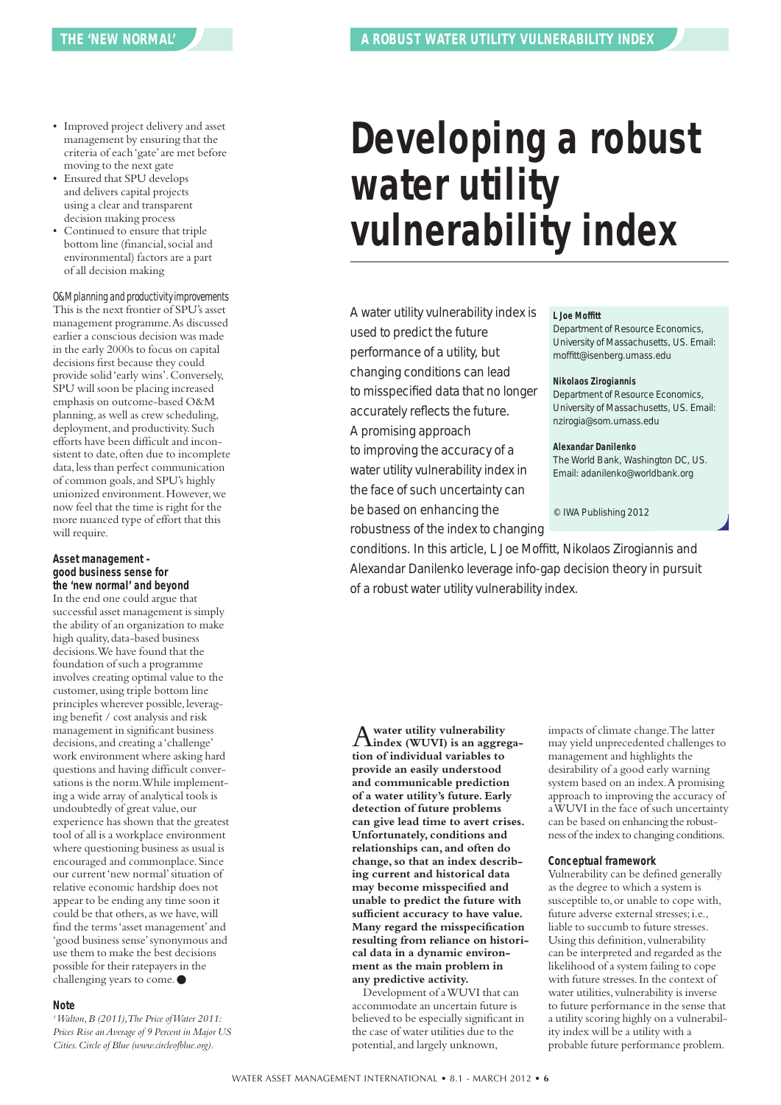- Improved project delivery and asset management by ensuring that the criteria of each'gate'are met before moving to the next gate
- Ensured that SPU develops and delivers capital projects using a clear and transparent decision making process
- Continued to ensure that triple bottom line (financial,social and environmental) factors are a part of all decision making

#### *O&Mplanning and productivityimprovements*

This is the next frontier of SPU's asset management programme.As discussed earlier a conscious decision was made in the early 2000s to focus on capital decisions first because they could provide solid'early wins'.Conversely, SPU will soon be placing increased emphasis on outcome-based O&M planning, as well as crew scheduling, deployment, and productivity. Such efforts have been difficult and inconsistent to date, often due to incomplete data, less than perfect communication of common goals,and SPU's highly unionized environment.However,we now feel that the time is right for the more nuanced type of effort that this will require.

#### **Asset management – good business sense for the 'new normal' and beyond**

In the end one could argue that successful asset management is simply the ability of an organization to make high quality, data-based business decisions.We have found that the foundation of such a programme involves creating optimal value to the customer, using triple bottom line principles wherever possible, leveraging benefit / cost analysis and risk management in significant business decisions, and creating a 'challenge' work environment where asking hard questions and having difficult conversations is the norm.While implementing a wide array of analytical tools is undoubtedly of great value, our experience has shown that the greatest tool of all is a workplace environment where questioning business as usual is encouraged and commonplace.Since our current 'new normal' situation of relative economic hardship does not appear to be ending any time soon it could be that others, as we have, will find the terms'asset management'and 'good business sense'synonymous and use them to make the best decisions possible for their ratepayers in the challenging years to come. ●

#### **Note**

*1Walton,B (2011),The Price ofWater 2011: Prices Rise anAverage of 9 Percent in Major US Cities.Circle of Blue (www.circleofblue.org).*

# **Developing a robust water utility vulnerability index**

A water utility vulnerability index is used to predict the future performance of a utility, but changing conditions can lead to misspecified data that no longer accurately reflects the future. A promising approach

to improving the accuracy of a water utility vulnerability index in the face of such uncertainty can be based on enhancing the robustness of the index to changing

#### **L Joe Moffitt**

Department of Resource Economics, University of Massachusetts, US. Email: moffitt@isenberg.umass.edu

#### **Nikolaos Zirogiannis**

Department of Resource Economics, University of Massachusetts, US. Email: nzirogia@som.umass.edu

#### **Alexandar Danilenko**

The World Bank, Washington DC, US. Email: adanilenko@worldbank.org

© IWA Publishing 2012

conditions. In this article, L Joe Moffitt, Nikolaos Zirogiannis and Alexandar Danilenko leverage info-gap decision theory in pursuit of a robust water utility vulnerability index.

A**water utility vulnerability index (WUVI) is an aggregation of individual variables to provide an easily understood and communicable prediction of a water utility's future. Early detection of future problems can give lead time to avert crises. Unfortunately, conditions and relationships can, and often do change,so that an index describing current and historical data may become misspecified and unable to predict the future with sufficient accuracy to have value. Many regard the misspecification resulting from reliance on historical data in a dynamic environment as the main problem in any predictive activity.**

Development of aWUVI that can accommodate an uncertain future is believed to be especially significant in the case of water utilities due to the potential,and largely unknown,

impacts of climate change.The latter may yield unprecedented challenges to management and highlights the desirability of a good early warning system based on an index.A promising approach to improving the accuracy of aWUVI in the face of such uncertainty can be based on enhancing the robustness of the index to changing conditions.

#### **Conceptual framework**

Vulnerability can be defined generally as the degree to which a system is susceptible to,or unable to cope with, future adverse external stresses;i.e., liable to succumb to future stresses. Using this definition, vulnerability can be interpreted and regarded as the likelihood of a system failing to cope with future stresses.In the context of water utilities, vulnerability is inverse to future performance in the sense that a utility scoring highly on a vulnerability index will be a utility with a probable future performance problem.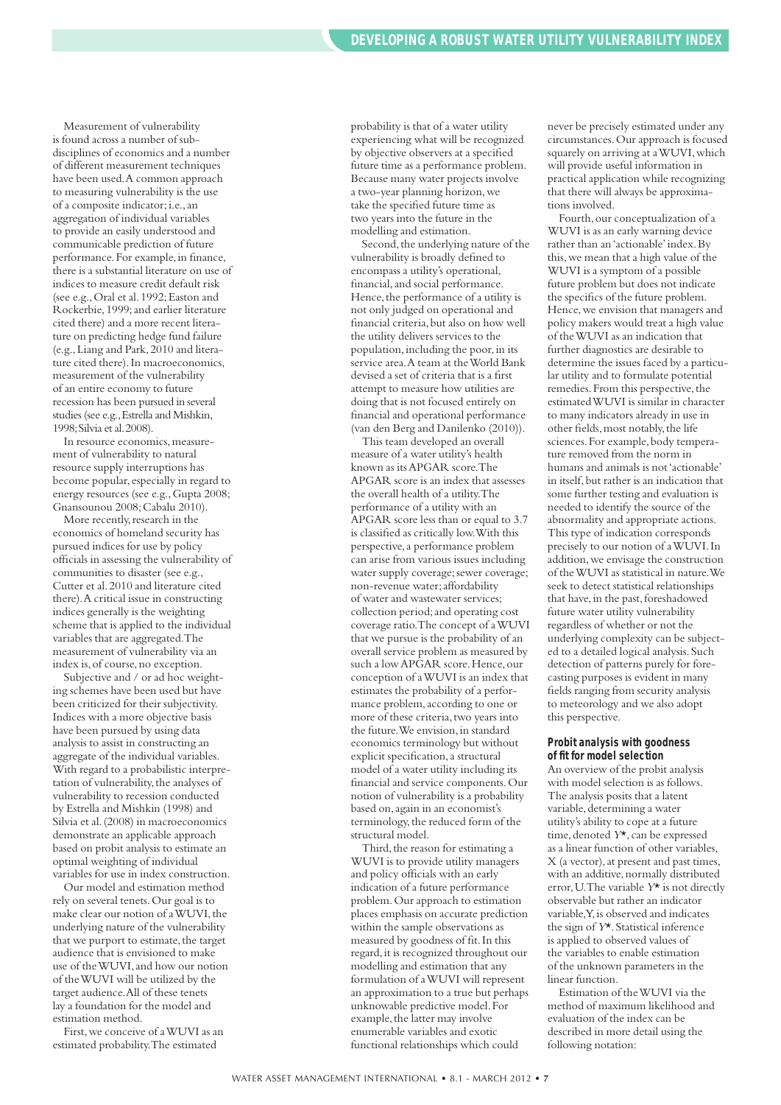Measurement of vulnerability is found across a number of subdisciplines of economics and a number of different measurement techniques have been used.A common approach to measuring vulnerability is the use of a composite indicator;i.e.,an aggregation of individual variables to provide an easily understood and communicable prediction of future performance. For example, in finance, there is a substantial literature on use of indices to measure credit default risk (see e.g.,Oral et al.1992;Easton and Rockerbie,1999;and earlier literature cited there) and a more recent literature on predicting hedge fund failure (e.g.,Liang and Park,2010 and literature cited there).In macroeconomics, measurement of the vulnerability of an entire economy to future recession has been pursued in several studies (see e.g., Estrella and Mishkin, 1998; Silvia et al. 2008).

In resource economics,measurement of vulnerability to natural resource supply interruptions has become popular, especially in regard to energy resources (see e.g., Gupta 2008; Gnansounou 2008;Cabalu 2010).

More recently, research in the economics of homeland security has pursued indices for use by policy officials in assessing the vulnerability of communities to disaster (see e.g., Cutter et al.2010 and literature cited there).A critical issue in constructing indices generally is the weighting scheme that is applied to the individual variables that are aggregated.The measurement of vulnerability via an index is,of course,no exception.

Subjective and / or ad hoc weighting schemes have been used but have been criticized for their subjectivity. Indices with a more objective basis have been pursued by using data analysis to assist in constructing an aggregate of the individual variables. With regard to a probabilistic interpretation of vulnerability,the analyses of vulnerability to recession conducted by Estrella and Mishkin (1998) and Silvia et al.(2008) in macroeconomics demonstrate an applicable approach based on probit analysis to estimate an optimal weighting of individual variables for use in index construction.

Our model and estimation method rely on several tenets.Our goal is to make clear our notion of a WUVI, the underlying nature of the vulnerability that we purport to estimate, the target audience that is envisioned to make use of theWUVI,and how our notion of theWUVI will be utilized by the target audience.All of these tenets lay a foundation for the model and estimation method.

First,we conceive of aWUVI as an estimated probability.The estimated

probability is that of a water utility experiencing what will be recognized by objective observers at a specified future time as a performance problem. Because many water projects involve a two-year planning horizon,we take the specified future time as two years into the future in the modelling and estimation.

Second, the underlying nature of the vulnerability is broadly defined to encompass a utility's operational, financial,and social performance. Hence,the performance of a utility is not only judged on operational and financial criteria,but also on how well the utility delivers services to the population, including the poor, in its service area.A team at theWorld Bank devised a set of criteria that is a first attempt to measure how utilities are doing that is not focused entirely on financial and operational performance (van den Berg and Danilenko (2010)).

This team developed an overall measure of a water utility's health known as itsAPGAR score.The APGAR score is an index that assesses the overall health of a utility.The performance of a utility with an APGAR score less than or equal to 3.7 is classified as critically low.With this perspective,a performance problem can arise from various issues including water supply coverage; sewer coverage; non-revenue water;affordability of water and wastewater services; collection period;and operating cost coverage ratio.The concept of aWUVI that we pursue is the probability of an overall service problem as measured by such a lowAPGAR score.Hence,our conception of aWUVI is an index that estimates the probability of a performance problem,according to one or more of these criteria,two years into the future. We envision, in standard economics terminology but without explicit specification,a structural model of a water utility including its financial and service components.Our notion of vulnerability is a probability based on,again in an economist's terminology,the reduced form of the structural model.

Third, the reason for estimating a WUVI is to provide utility managers and policy officials with an early indication of a future performance problem.Our approach to estimation places emphasis on accurate prediction within the sample observations as measured by goodness of fit.In this regard,it is recognized throughout our modelling and estimation that any formulation of aWUVI will represent an approximation to a true but perhaps unknowable predictive model.For example, the latter may involve enumerable variables and exotic functional relationships which could

never be precisely estimated under any circumstances.Our approach is focused squarely on arriving at aWUVI,which will provide useful information in practical application while recognizing that there will always be approximations involved.

Fourth, our conceptualization of a WUVI is as an early warning device rather than an'actionable'index.By this,we mean that a high value of the WUVI is a symptom of a possible future problem but does not indicate the specifics of the future problem. Hence,we envision that managers and policy makers would treat a high value of theWUVI as an indication that further diagnostics are desirable to determine the issues faced by a particular utility and to formulate potential remedies. From this perspective, the estimatedWUVI is similar in character to many indicators already in use in other fields, most notably, the life sciences.For example,body temperature removed from the norm in humans and animals is not'actionable' in itself,but rather is an indication that some further testing and evaluation is needed to identify the source of the abnormality and appropriate actions. This type of indication corresponds precisely to our notion of aWUVI.In addition,we envisage the construction of theWUVI as statistical in nature.We seek to detect statistical relationships that have, in the past, foreshadowed future water utility vulnerability regardless of whether or not the underlying complexity can be subjected to a detailed logical analysis.Such detection of patterns purely for forecasting purposes is evident in many fields ranging from security analysis to meteorology and we also adopt this perspective.

#### **Probit analysis with goodness of fit for model selection**

An overview of the probit analysis with model selection is as follows. The analysis posits that a latent variable, determining a water utility's ability to cope at a future time, denoted  $Y^*$ , can be expressed as a linear function of other variables, X (a vector),at present and past times, with an additive, normally distributed error,U.The variable *Y*\* is not directly observable but rather an indicator variable,Y,is observed and indicates the sign of *Y*\*.Statistical inference is applied to observed values of the variables to enable estimation of the unknown parameters in the linear function.

Estimation of theWUVI via the method of maximum likelihood and evaluation of the index can be described in more detail using the following notation: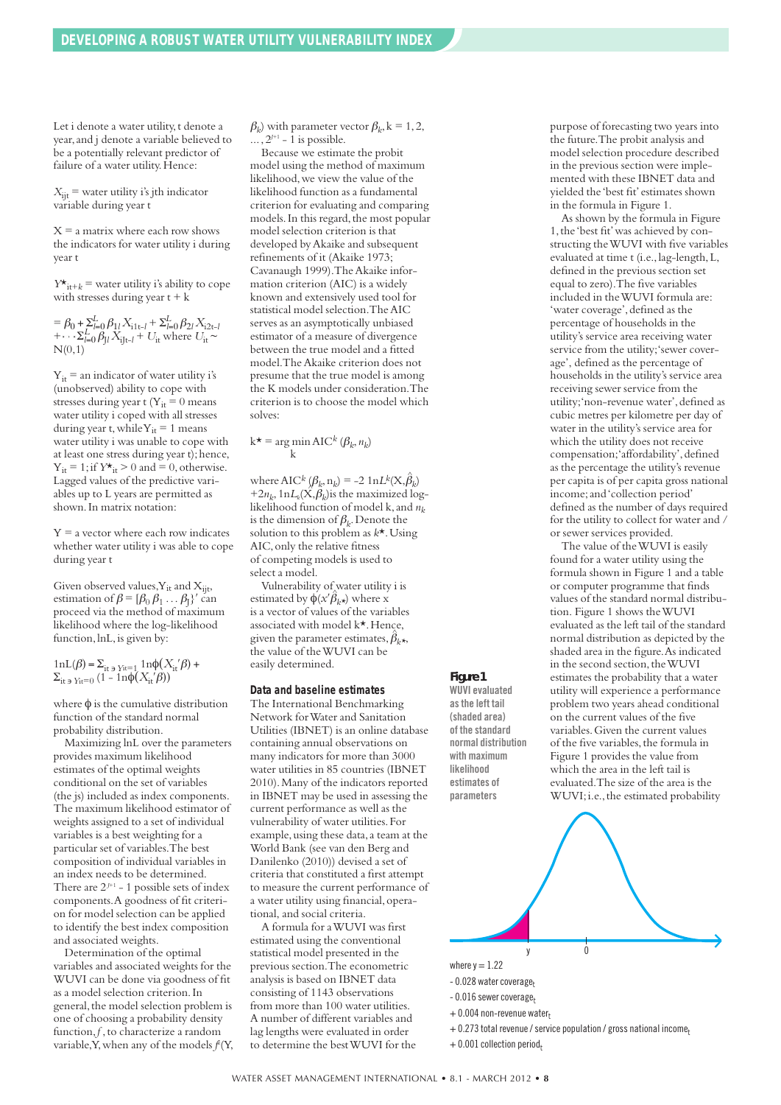Let i denote a water utility, t denote a year,and j denote a variable believed to be a potentially relevant predictor of failure of a water utility. Hence:

 $X_{\text{iit}}$  = water utility *i*'s jth indicator variable during year t

 $X = a$  matrix where each row shows the indicators for water utility i during year t

 $Y^*$ <sub>it+</sub> $_k$  = water utility *i*'s ability to cope with stresses during year  $t + k$ 

 $= \beta_0 + \sum_{l=0}^{L} \beta_{1l} X_{i1t-l} + \sum_{l=0}^{L} \beta_{2l} X_{i2t-l}$  $+\cdots \Sigma_{l=0}^L \beta_{Jl} X_{iJt-l} + U_{it}$  where  $U_{it} \sim$  $N(0,1)$  $L$   $R$   $\cdot$   $X$   $\cdot$   $\cdot$   $+$   $\Sigma^L$ *L*

 $Y_{it}$  = an indicator of water utility i's (unobserved) ability to cope with stresses during year t ( $Y_{it} = 0$  means water utility i coped with all stresses during year t, while  $Y_{it} = 1$  means water utility i was unable to cope with at least one stress during year t); hence,  $Y_{it} = 1$ ; if  $Y^*_{it} > 0$  and  $= 0$ , otherwise. Lagged values of the predictive variables up to L years are permitted as shown.In matrix notation:

 $Y = a$  vector where each row indicates whether water utility i was able to cope during year t

Given observed values,  $Y_{it}$  and  $X_{ijt}$ , estimation of  $\beta = [\beta_0 \beta_1 \dots \beta_l]'$  can proceed via the method of maximum likelihood where the log-likelihood function, lnL, is given by:

1nL(β) =  $\Sigma_{it}$  <sub>→ Yit=1</sub> 1n $\phi(X_{it}|\beta)$  +  $\Sigma$ <sub>it ∋ Yit=0</sub> (1 - 1nφ( $X$ <sub>it</sub>'β))

where  $\phi$  is the cumulative distribution function of the standard normal probability distribution.

Maximizing lnL over the parameters provides maximum likelihood estimates of the optimal weights conditional on the set of variables (the js) included as index components. The maximum likelihood estimator of weights assigned to a set of individual variables is a best weighting for a particular set of variables.The best composition of individual variables in an index needs to be determined. There are  $2^{J+1}$  - 1 possible sets of index components.A goodness of fit criterion for model selection can be applied to identify the best index composition and associated weights.

Determination of the optimal variables and associated weights for the WUVI can be done via goodness of fit as a model selection criterion.In general, the model selection problem is one of choosing a probability density function,*f* ,to characterize a random variable, Y, when any of the models  $f^{k}(Y, \theta)$   $\beta_k$ ) with parameter vector  $\beta_k$ , k = 1, 2,  $\ldots$ ,  $2^{J+1}$  – 1 is possible.

Because we estimate the probit model using the method of maximum likelihood, we view the value of the likelihood function as a fundamental criterion for evaluating and comparing models. In this regard, the most popular model selection criterion is that developed byAkaike and subsequent refinements of it (Akaike 1973; Cavanaugh 1999).TheAkaike information criterion (AIC) is a widely known and extensively used tool for statistical model selection.TheAIC serves as an asymptotically unbiased estimator of a measure of divergence between the true model and a fitted model.TheAkaike criterion does not presume that the true model is among the K models under consideration.The criterion is to choose the model which solves:

#### $k^*$  = arg min AIC<sup>k</sup> ( $\beta_k$ ,  $n_k$ ) k

where AIC<sup>k</sup>  $(\beta_k, n_k) = -2 \ln L^k(X, \hat{\beta}_k)$  $+2n_k, 1nL_k(\mathbf{X}, \mathbf{\beta}_k)$  is the maximized loglikelihood function of model k, and  $n_k$ is the dimension of  $\beta_k$ . Denote the solution to this problem as *k*\*.Using AIC,only the relative fitness of competing models is used to select a model.

Vulnerability of water utility i is estimated by  $\phi(x'\hat{\beta}_{k*})$  where x is a vector of values of the variables associated with model k\*.Hence, given the parameter estimates,  $\hat{\beta}_{k^\star\!\star}$ the value of theWUVI can be easily determined.

#### **Data and baseline estimates**

The International Benchmarking Network forWater and Sanitation Utilities (IBNET) is an online database containing annual observations on many indicators for more than 3000 water utilities in 85 countries (IBNET 2010).Many of the indicators reported in IBNET may be used in assessing the current performance as well as the vulnerability of water utilities.For example, using these data, a team at the World Bank (see van den Berg and Danilenko (2010)) devised a set of criteria that constituted a first attempt to measure the current performance of a water utility using financial,operational, and social criteria.

A formula for aWUVI was first estimated using the conventional statistical model presented in the previous section.The econometric analysis is based on IBNET data consisting of 1143 observations from more than 100 water utilities. A number of different variables and lag lengths were evaluated in order to determine the bestWUVI for the purpose of forecasting two years into the future.The probit analysis and model selection procedure described in the previous section were implemented with these IBNET data and yielded the 'best fit' estimates shown in the formula in Figure 1.

As shown by the formula in Figure 1,the 'best fit'was achieved by constructing theWUVI with five variables evaluated at time t (i.e.,lag-length,L, defined in the previous section set equal to zero).The five variables included in theWUVI formula are: 'water coverage', defined as the percentage of households in the utility's service area receiving water service from the utility;'sewer coverage', defined as the percentage of households in the utility's service area receiving sewer service from the utility;'non-revenue water',defined as cubic metres per kilometre per day of water in the utility's service area for which the utility does not receive compensation;'affordability',defined as the percentage the utility's revenue per capita is of per capita gross national income;and'collection period' defined as the number of days required for the utility to collect for water and / or sewer services provided.

The value of theWUVI is easily found for a water utility using the formula shown in Figure 1 and a table or computer programme that finds values of the standard normal distribution. Figure 1 shows theWUVI evaluated as the left tail of the standard normal distribution as depicted by the shaded area in the figure.As indicated in the second section, the WUVI estimates the probability that a water utility will experience a performance problem two years ahead conditional on the current values of the five variables.Given the current values of the five variables, the formula in Figure 1 provides the value from which the area in the left tail is evaluated.The size of the area is the WUVI;i.e.,the estimated probability



- + 0.273 total revenue/service population / gross national income*<sup>t</sup>*
- $+$  0.001 collection period<sub>t</sub>

*Figure 1* **WUVI evaluated asthe left tail (shaded area) of the standard normal distribution with maximum likelihood estimates of parameters**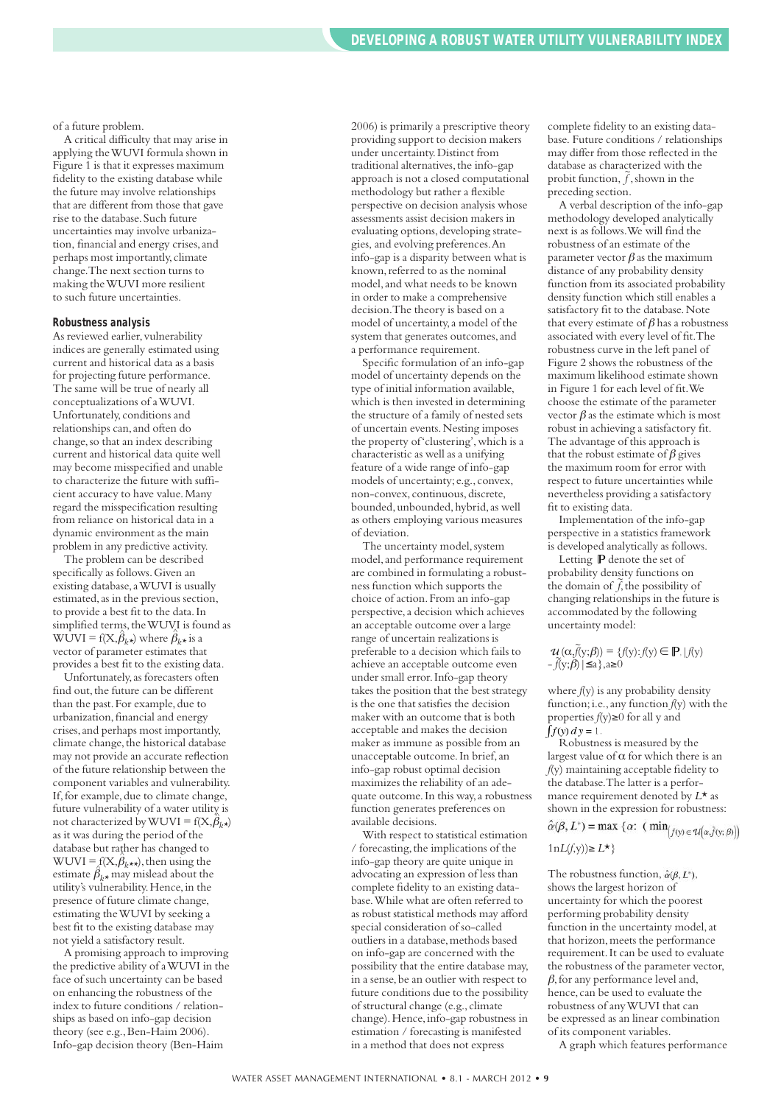of a future problem.

A critical difficulty that may arise in applying theWUVI formula shown in Figure 1 is that it expresses maximum fidelity to the existing database while the future may involve relationships that are different from those that gave rise to the database.Such future uncertainties may involve urbanization, financial and energy crises,and perhaps most importantly, climate change.The next section turns to making theWUVI more resilient to such future uncertainties.

#### **Robustness analysis**

As reviewed earlier, vulnerability indices are generally estimated using current and historical data as a basis for projecting future performance. The same will be true of nearly all conceptualizations of aWUVI. Unfortunately, conditions and relationships can,and often do change, so that an index describing current and historical data quite well may become misspecified and unable to characterize the future with sufficient accuracy to have value.Many regard the misspecification resulting from reliance on historical data in a dynamic environment as the main problem in any predictive activity.

The problem can be described specifically as follows.Given an existing database,aWUVI is usually estimated,as in the previous section, to provide a best fit to the data.In simplified terms, the WUVI is found as  $WUVI = f(X, \hat{\beta}_k)$  where  $\hat{\beta}_k$  is a vector of parameter estimates that provides a best fit to the existing data.

Unfortunately,as forecasters often find out, the future can be different than the past. For example, due to urbanization,financial and energy crises,and perhaps most importantly, climate change, the historical database may not provide an accurate reflection of the future relationship between the component variables and vulnerability. If, for example, due to climate change, future vulnerability of a water utility is not characterized by WUVI =  $f(X, \hat{\beta}_k)$ as it was during the period of the database but rather has changed to  $WUVI = f(X, \hat{\beta}_{k^{**}})$ , then using the estimate  $\hat{\beta}_{k*}$  may mislead about the utility's vulnerability.Hence,in the presence of future climate change, estimating theWUVI by seeking a best fit to the existing database may not yield a satisfactory result.

A promising approach to improving the predictive ability of aWUVI in the face of such uncertainty can be based on enhancing the robustness of the index to future conditions / relationships as based on info-gap decision theory (see e.g., Ben-Haim 2006). Info-gap decision theory (Ben-Haim

2006) is primarily a prescriptive theory providing support to decision makers under uncertainty.Distinct from traditional alternatives, the info-gap approach is not a closed computational methodology but rather a flexible perspective on decision analysis whose assessments assist decision makers in evaluating options, developing strategies, and evolving preferences.An info-gap is a disparity between what is known, referred to as the nominal model,and what needs to be known in order to make a comprehensive decision.The theory is based on a model of uncertainty,a model of the system that generates outcomes, and a performance requirement.

Specific formulation of an info-gap model of uncertainty depends on the type of initial information available, which is then invested in determining the structure of a family of nested sets of uncertain events.Nesting imposes the property of'clustering',which is a characteristic as well as a unifying feature of a wide range of info-gap models of uncertainty; e.g., convex, non-convex, continuous,discrete, bounded, unbounded, hybrid, as well as others employing various measures of deviation.

The uncertainty model, system model,and performance requirement are combined in formulating a robustness function which supports the choice of action.From an info-gap perspective,a decision which achieves an acceptable outcome over a large range of uncertain realizations is preferable to a decision which fails to achieve an acceptable outcome even under small error.Info-gap theory takes the position that the best strategy is the one that satisfies the decision maker with an outcome that is both acceptable and makes the decision maker as immune as possible from an unacceptable outcome.In brief,an info-gap robust optimal decision maximizes the reliability of an adequate outcome.In this way,a robustness function generates preferences on available decisions.

With respect to statistical estimation  $\prime$  forecasting, the implications of the info-gap theory are quite unique in advocating an expression of less than complete fidelity to an existing database.While what are often referred to as robust statistical methods may afford special consideration of so-called outliers in a database,methods based on info-gap are concerned with the possibility that the entire database may, in a sense, be an outlier with respect to future conditions due to the possibility of structural change (e.g., climate change).Hence,info-gap robustness in estimation / forecasting is manifested in a method that does not express

complete fidelity to an existing database. Future conditions / relationships may differ from those reflected in the database as characterized with the probit function,  $\tilde{f}$ , shown in the preceding section.

A verbal description of the info-gap methodology developed analytically next is as follows.We will find the robustness of an estimate of the parameter vector  $\beta$  as the maximum distance of any probability density function from its associated probability density function which still enables a satisfactory fit to the database. Note that every estimate of  $\beta$  has a robustness associated with every level of fit.The robustness curve in the left panel of Figure 2 shows the robustness of the maximum likelihood estimate shown in Figure 1 for each level of fit.We choose the estimate of the parameter vector  $\beta$  as the estimate which is most robust in achieving a satisfactory fit. The advantage of this approach is that the robust estimate of  $\beta$  gives the maximum room for error with respect to future uncertainties while nevertheless providing a satisfactory fit to existing data.

Implementation of the info-gap perspective in a statistics framework is developed analytically as follows.

Letting P denote the set of probability density functions on the domain of  $\tilde{f}$ , the possibility of changing relationships in the future is accommodated by the following uncertainty model:

$$
\mathcal{U}(\alpha, \tilde{f}(y;\beta)) = \{f(y): f(y) \in \mathbb{P} \mid f(y) - \tilde{f}(y;\beta) \mid \leq a \}, a \geq 0
$$

where *f*(y) is any probability density function;i.e.,any function *f*(y) with the properties *f*(y)≥0 for all y and  $\int f(y) dy = 1$ .

Robustness is measured by the largest value of  $\alpha$  for which there is an *f*(y) maintaining acceptable fidelity to the database.The latter is a performance requirement denoted by *L*\* as shown in the expression for robustness:

 $\hat{\alpha}(\beta, L^*) = \max \{ \alpha : \left( \min_{f(y) \in \mathcal{U}(\alpha, \tilde{f}(y; \beta))} \right)$ 

#### 1n*L*(*f*,y))≥ *L*\*}

The robustness function,  $\hat{\alpha}(\beta, L^*)$ . shows the largest horizon of uncertainty for which the poorest performing probability density function in the uncertainty model,at that horizon,meets the performance requirement.It can be used to evaluate the robustness of the parameter vector,  $\beta$ , for any performance level and, hence, can be used to evaluate the robustness of anyWUVI that can be expressed as an linear combination of its component variables.

A graph which features performance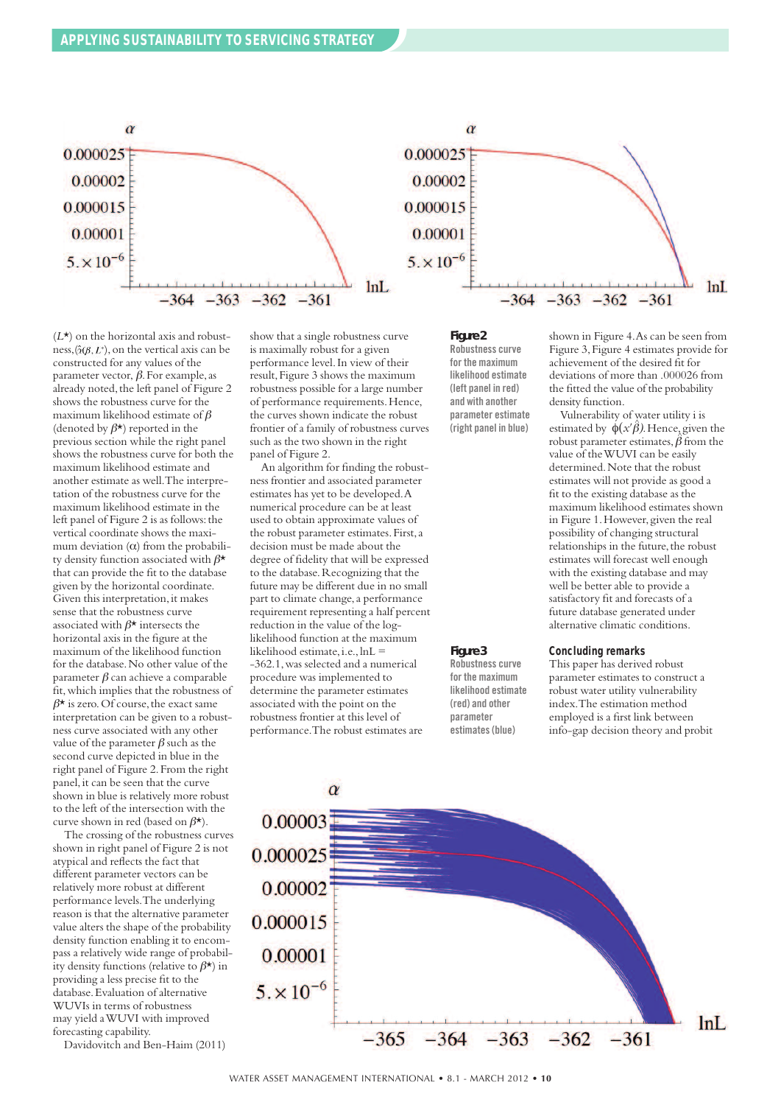![](_page_9_Figure_1.jpeg)

 $(L<sup>*</sup>)$  on the horizontal axis and robustness,  $(\hat{\alpha}(\beta, L^*),$  on the vertical axis can be constructed for any values of the parameter vector,  $β$ . For example, as already noted, the left panel of Figure 2 shows the robustness curve for the maximum likelihood estimate of  $\beta$ (denoted by  $\beta^*$ ) reported in the previous section while the right panel shows the robustness curve for both the maximum likelihood estimate and another estimate as well.The interpretation of the robustness curve for the maximum likelihood estimate in the left panel of Figure 2 is as follows: the vertical coordinate shows the maximum deviation  $(\alpha)$  from the probability density function associated with  $\beta^{\star}$ that can provide the fit to the database given by the horizontal coordinate. Given this interpretation,it makes sense that the robustness curve associated with  $\beta^*$  intersects the horizontal axis in the figure at the maximum of the likelihood function for the database.No other value of the parameter β can achieve a comparable fit,which implies that the robustness of  $\beta^{\star}$  is zero. Of course, the exact same interpretation can be given to a robustness curve associated with any other value of the parameter  $\beta$  such as the second curve depicted in blue in the right panel of Figure 2.From the right panel, it can be seen that the curve shown in blue is relatively more robust to the left of the intersection with the curve shown in red (based on  $\beta^*$ ).

The crossing of the robustness curves shown in right panel of Figure 2 is not atypical and reflects the fact that different parameter vectors can be relatively more robust at different performance levels.The underlying reason is that the alternative parameter value alters the shape of the probability density function enabling it to encompass a relatively wide range of probability density functions (relative to  $\beta^*$ ) in providing a less precise fit to the database.Evaluation of alternative WUVIs in terms of robustness may yield aWUVI with improved forecasting capability.

Davidovitch and Ben-Haim (2011)

show that a single robustness curve is maximally robust for a given performance level.In view of their result, Figure 3 shows the maximum robustness possible for a large number of performance requirements.Hence, the curves shown indicate the robust frontier of a family of robustness curves such as the two shown in the right panel of Figure 2.

An algorithm for finding the robustness frontier and associated parameter estimates has yet to be developed.A numerical procedure can be at least used to obtain approximate values of the robust parameter estimates. First, a decision must be made about the degree of fidelity that will be expressed to the database.Recognizing that the future may be different due in no small part to climate change, a performance requirement representing a half percent reduction in the value of the loglikelihood function at the maximum likelihood estimate, i.e.,  $lnL =$ -362.1,was selected and a numerical procedure was implemented to determine the parameter estimates associated with the point on the robustness frontier at this level of performance.The robust estimates are

#### *Figure 2*

*Figure 3* **Robustness curve for the maximum likelihood estimate (red) and other parameter estimates(blue)**

**Robustness curve for the maximum likelihood estimate (left panel in red) and with another parameter estimate (right panel in blue)**

shown in Figure 4.As can be seen from Figure 3,Figure 4 estimates provide for achievement of the desired fit for deviations of more than .000026 from the fitted the value of the probability density function.

Vulnerability of water utility i is estimated by  $\phi(x'\hat{\beta})$ . Hence, given the robust parameter estimates,  $\hat{\beta}$  from the value of theWUVI can be easily determined.Note that the robust estimates will not provide as good a fit to the existing database as the maximum likelihood estimates shown in Figure 1.However, given the real possibility of changing structural relationships in the future, the robust estimates will forecast well enough with the existing database and may well be better able to provide a satisfactory fit and forecasts of a future database generated under alternative climatic conditions.

#### **Concluding remarks**

This paper has derived robust parameter estimates to construct a robust water utility vulnerability index.The estimation method employed is a first link between info-gap decision theory and probit

![](_page_9_Figure_13.jpeg)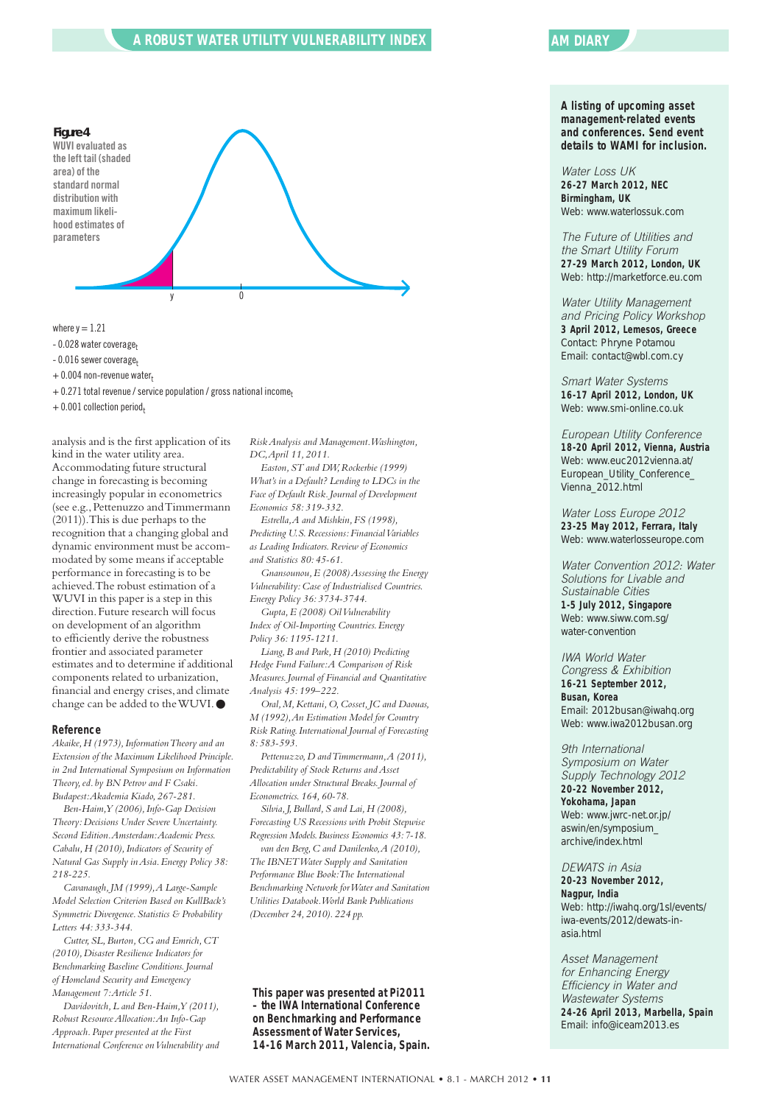#### **A ROBUST WATER UTILITY VULNERABILITY INDEX**

![](_page_10_Figure_1.jpeg)

where  $v = 1.21$ 

- 0.028 water coverage<sub>t</sub>
- 0.016 sewer coverage<sub>t</sub>
- + 0.004 non-revenue water<sub>t</sub>

+ 0.271 total revenue/service population / gross national income*<sup>t</sup>*

 $+$  0.001 collection period<sub>t</sub>

analysis and is the first application of its kind in the water utility area. Accommodating future structural change in forecasting is becoming increasingly popular in econometrics (see e.g.,Pettenuzzo andTimmermann (2011)).This is due perhaps to the recognition that a changing global and dynamic environment must be accommodated by some means if acceptable performance in forecasting is to be achieved.The robust estimation of a WUVI in this paper is a step in this direction.Future research will focus on development of an algorithm to efficiently derive the robustness frontier and associated parameter estimates and to determine if additional components related to urbanization, financial and energy crises,and climate change can be added to theWUVI.●

#### **Reference**

*Akaike,H (1973),InformationTheory and an Extension of the Maximum Likelihood Principle. in 2nd International Symposium on Information Theory,ed. by BN Petrov and F Csaki. Budapest:Akademia Kiado,267-281.*

*Ben-Haim,Y (2006),Info-Gap Decision Theory:Decisions Under Severe Uncertainty. Second Edition.Amsterdam:Academic Press. Cabalu,H (2010),Indicators of Security of Natural Gas Supply inAsia.Energy Policy 38: 218-225.*

*Cavanaugh,JM (1999),A Large-Sample Model Selection Criterion Based on KullBack's Symmetric Divergence.Statistics & Probability Letters 44:333-344.*

*Cutter,SL,Burton,CG and Emrich,CT (2010),Disaster Resilience Indicators for Benchmarking Baseline Conditions.Journal of Homeland Security and Emergency Management 7:Article 51.*

*Davidovitch,L and Ben-Haim,Y (2011), Robust ResourceAllocation:An Info-Gap Approach.Paper presented at the First International Conference onVulnerability and* *RiskAnalysis and Management.Washington, DC,April 11,2011. Easton,ST and DW,Rockerbie (1999)*

*What's in a Default? Lending to LDCs in the Face of Default Risk.Journal of Development Economics 58:319-332.*

*Estrella,A and Mishkin,FS (1998), Predicting U.S.Recessions:FinancialVariables as Leading Indicators.Review of Economics and Statistics 80:45-61.*

*Gnansounou,E (2008)Assessing the Energy Vulnerability:Case of Industrialised Countries. Energy Policy 36:3734-3744.*

*Gupta,E (2008) OilVulnerability Index of Oil-Importing Countries.Energy Policy 36:1195-1211.*

*Liang,B and Park,H (2010) Predicting Hedge Fund Failure:A Comparison of Risk Measures.Journal of Financial and Quantitative Analysis 45:199–222.*

*Oral,M,Kettani,O,Cosset,JC and Daouas, M (1992),An Estimation Model for Country Risk Rating.International Journal of Forecasting 8:583-593.*

*Pettenuzzo,D andTimmermann,A (2011), Predictability of Stock Returns andAsset Allocation under Structural Breaks.Journal of Econometrics.164,60-78.*

*Silvia,J,Bullard,S and Lai,H (2008), Forecasting US Recessions with Probit Stepwise Regression Models.Business Economics 43:7-18. van den Berg,C and Danilenko,A (2010), The IBNETWater Supply and Sanitation Performance Blue Book:The International Benchmarking Network forWater and Sanitation Utilities Databook.World Bank Publications (December 24,2010).224 pp.*

**This paper was presented at Pi2011 – the IWA International Conference on Benchmarking and Performance Assessment of Water Services, 14-16 March 2011, Valencia, Spain.**

#### **AM DIARY**

#### **A listing of upcoming asset management-related events and conferences. Send event details to WAMI for inclusion.**

*Water Loss UK* **26-27 March 2012, NEC Birmingham, UK** Web: www.waterlossuk.com

*The Future of Utilities and the Smart Utility Forum* **27-29 March 2012, London, UK** Web: http://marketforce.eu.com

*Water Utility Management and Pricing Policy Workshop* **3 April 2012, Lemesos, Greece** Contact: Phryne Potamou Email: contact@wbl.com.cy

*Smart Water Systems* **16-17 April 2012, London, UK** Web: www.smi-online.co.uk

*European Utility Conference* **18-20 April 2012, Vienna, Austria** Web: www.euc2012vienna.at/ European\_Utility\_Conference\_ Vienna\_2012.html

*Water Loss Europe 2012* **23-25 May 2012, Ferrara, Italy** Web: www.waterlosseurope.com

*Water Convention 2012: Water Solutions for Livable and Sustainable Cities* **1-5 July 2012, Singapore** Web: www.siww.com.sg/ water-convention

*IWA World Water Congress & Exhibition* **16-21 September 2012, Busan, Korea** Email: 2012busan@iwahq.org Web: www.iwa2012busan.org

*9th International Symposium on Water Supply Technology 2012* **20-22 November 2012, Yokohama, Japan** Web: www.jwrc-net.or.jp/ aswin/en/symposium\_ archive/index.html

*DEWATS in Asia* **20-23 November 2012, Nagpur, India** Web: http://iwahq.org/1sl/events/ iwa-events/2012/dewats-inasia.html

*Asset Management for Enhancing Energy Efficiency in Water and Wastewater Systems* **24-26 April 2013, Marbella, Spain** Email: info@iceam2013.es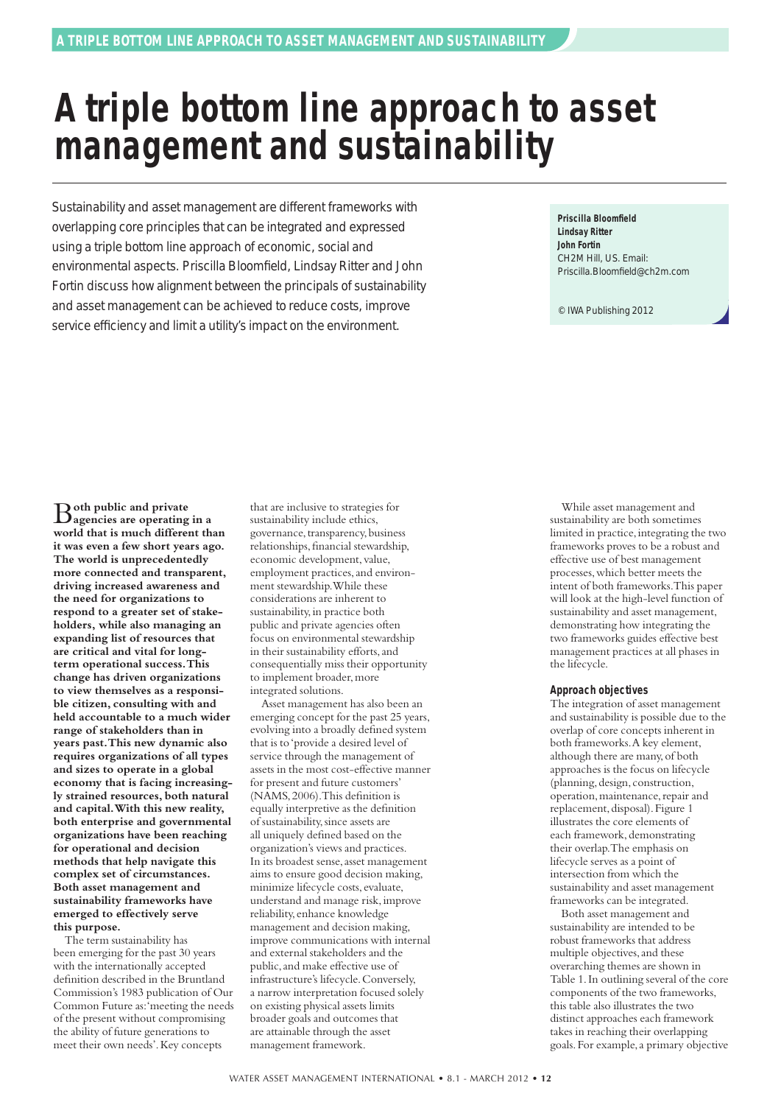## **A triple bottom line approach to asset management and sustainability**

Sustainability and asset management are different frameworks with overlapping core principles that can be integrated and expressed using a triple bottom line approach of economic, social and environmental aspects. Priscilla Bloomfield, Lindsay Ritter and John Fortin discuss how alignment between the principals of sustainability and asset management can be achieved to reduce costs, improve service efficiency and limit a utility's impact on the environment.

**Priscilla Bloomfield Lindsay Ritter John Fortin** CH2M Hill, US. Email: Priscilla.Bloomfield@ch2m.com

© IWA Publishing 2012

B**oth public and private agencies are operating in a world that is much different than it was even a few short years ago. The world is unprecedentedly more connected and transparent, driving increased awareness and the need for organizations to respond to a greater set of stakeholders, while also managing an expanding list of resources that are critical and vital for longterm operational success.This change has driven organizations to view themselves as a responsible citizen, consulting with and held accountable to a much wider range of stakeholders than in years past.This new dynamic also requires organizations of all types and sizes to operate in a global economy that is facing increasingly strained resources, both natural and capital.With this new reality, both enterprise and governmental organizations have been reaching for operational and decision methods that help navigate this complex set of circumstances. Both asset management and sustainability frameworks have emerged to effectively serve this purpose.**

The term sustainability has been emerging for the past 30 years with the internationally accepted definition described in the Bruntland Commission's 1983 publication of Our Common Future as:'meeting the needs of the present without compromising the ability of future generations to meet their own needs'.Key concepts

that are inclusive to strategies for sustainability include ethics, governance, transparency, business relationships,financial stewardship, economic development, value, employment practices,and environment stewardship.While these considerations are inherent to sustainability, in practice both public and private agencies often focus on environmental stewardship in their sustainability efforts, and consequentially miss their opportunity to implement broader, more integrated solutions.

Asset management has also been an emerging concept for the past 25 years, evolving into a broadly defined system that is to'provide a desired level of service through the management of assets in the most cost-effective manner for present and future customers' (NAMS,2006).This definition is equally interpretive as the definition of sustainability,since assets are all uniquely defined based on the organization's views and practices. In its broadest sense, asset management aims to ensure good decision making, minimize lifecycle costs, evaluate, understand and manage risk,improve reliability, enhance knowledge management and decision making, improve communications with internal and external stakeholders and the public,and make effective use of infrastructure's lifecycle.Conversely, a narrow interpretation focused solely on existing physical assets limits broader goals and outcomes that are attainable through the asset management framework.

While asset management and sustainability are both sometimes limited in practice, integrating the two frameworks proves to be a robust and effective use of best management processes,which better meets the intent of both frameworks.This paper will look at the high-level function of sustainability and asset management, demonstrating how integrating the two frameworks guides effective best management practices at all phases in the lifecycle.

#### **Approach objectives**

The integration of asset management and sustainability is possible due to the overlap of core concepts inherent in both frameworks.A key element, although there are many,of both approaches is the focus on lifecycle (planning,design, construction, operation,maintenance,repair and replacement, disposal). Figure 1 illustrates the core elements of each framework, demonstrating their overlap.The emphasis on lifecycle serves as a point of intersection from which the sustainability and asset management frameworks can be integrated.

Both asset management and sustainability are intended to be robust frameworks that address multiple objectives,and these overarching themes are shown in Table 1.In outlining several of the core components of the two frameworks, this table also illustrates the two distinct approaches each framework takes in reaching their overlapping goals.For example,a primary objective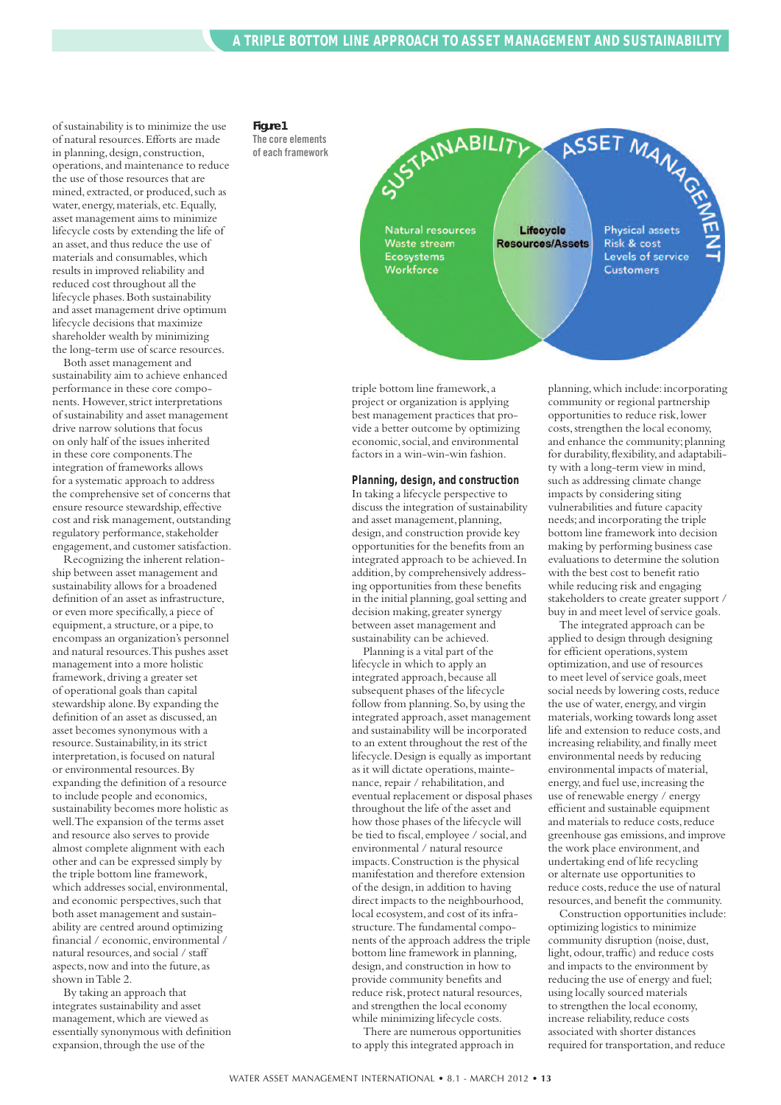of sustainability is to minimize the use of natural resources.Efforts are made in planning, design, construction, operations,and maintenance to reduce the use of those resources that are mined, extracted, or produced, such as water, energy,materials, etc.Equally, asset management aims to minimize lifecycle costs by extending the life of an asset,and thus reduce the use of materials and consumables,which results in improved reliability and reduced cost throughout all the lifecycle phases.Both sustainability and asset management drive optimum lifecycle decisions that maximize shareholder wealth by minimizing the long-term use of scarce resources.

Both asset management and sustainability aim to achieve enhanced performance in these core components. However, strict interpretations of sustainability and asset management drive narrow solutions that focus on only half of the issues inherited in these core components.The integration of frameworks allows for a systematic approach to address the comprehensive set of concerns that ensure resource stewardship, effective cost and risk management, outstanding regulatory performance, stakeholder engagement,and customer satisfaction.

Recognizing the inherent relationship between asset management and sustainability allows for a broadened definition of an asset as infrastructure, or even more specifically,a piece of equipment,a structure,or a pipe,to encompass an organization's personnel and natural resources.This pushes asset management into a more holistic framework,driving a greater set of operational goals than capital stewardship alone.By expanding the definition of an asset as discussed,an asset becomes synonymous with a resource.Sustainability,in its strict interpretation,is focused on natural or environmental resources.By expanding the definition of a resource to include people and economics, sustainability becomes more holistic as well.The expansion of the terms asset and resource also serves to provide almost complete alignment with each other and can be expressed simply by the triple bottom line framework, which addresses social, environmental, and economic perspectives, such that both asset management and sustainability are centred around optimizing financial / economic, environmental / natural resources,and social / staff aspects, now and into the future, as shown inTable 2.

By taking an approach that integrates sustainability and asset management,which are viewed as essentially synonymous with definition expansion, through the use of the

#### *Figure 1*

**The core elements of each framework**

![](_page_12_Picture_7.jpeg)

triple bottom line framework,a project or organization is applying best management practices that provide a better outcome by optimizing economic,social,and environmental factors in a win-win-win fashion.

#### **Planning, design, and construction**

In taking a lifecycle perspective to discuss the integration of sustainability and asset management, planning, design, and construction provide key opportunities for the benefits from an integrated approach to be achieved.In addition,by comprehensively addressing opportunities from these benefits in the initial planning, goal setting and decision making, greater synergy between asset management and sustainability can be achieved.

Planning is a vital part of the lifecycle in which to apply an integrated approach, because all subsequent phases of the lifecycle follow from planning. So, by using the integrated approach, asset management and sustainability will be incorporated to an extent throughout the rest of the lifecycle.Design is equally as important as it will dictate operations,maintenance, repair / rehabilitation, and eventual replacement or disposal phases throughout the life of the asset and how those phases of the lifecycle will be tied to fiscal, employee / social,and environmental / natural resource impacts.Construction is the physical manifestation and therefore extension of the design,in addition to having direct impacts to the neighbourhood, local ecosystem, and cost of its infrastructure.The fundamental components of the approach address the triple bottom line framework in planning, design,and construction in how to provide community benefits and reduce risk, protect natural resources, and strengthen the local economy while minimizing lifecycle costs.

There are numerous opportunities to apply this integrated approach in

planning,which include:incorporating community or regional partnership opportunities to reduce risk,lower costs, strengthen the local economy, and enhance the community; planning for durability, flexibility, and adaptability with a long-term view in mind, such as addressing climate change impacts by considering siting vulnerabilities and future capacity needs;and incorporating the triple bottom line framework into decision making by performing business case evaluations to determine the solution with the best cost to benefit ratio while reducing risk and engaging stakeholders to create greater support / buy in and meet level of service goals.

The integrated approach can be applied to design through designing for efficient operations, system optimization,and use of resources to meet level of service goals,meet social needs by lowering costs, reduce the use of water, energy, and virgin materials,working towards long asset life and extension to reduce costs,and increasing reliability,and finally meet environmental needs by reducing environmental impacts of material, energy,and fuel use,increasing the use of renewable energy / energy efficient and sustainable equipment and materials to reduce costs, reduce greenhouse gas emissions,and improve the work place environment, and undertaking end of life recycling or alternate use opportunities to reduce costs, reduce the use of natural resources,and benefit the community.

Construction opportunities include: optimizing logistics to minimize community disruption (noise, dust, light, odour, traffic) and reduce costs and impacts to the environment by reducing the use of energy and fuel; using locally sourced materials to strengthen the local economy, increase reliability, reduce costs associated with shorter distances required for transportation,and reduce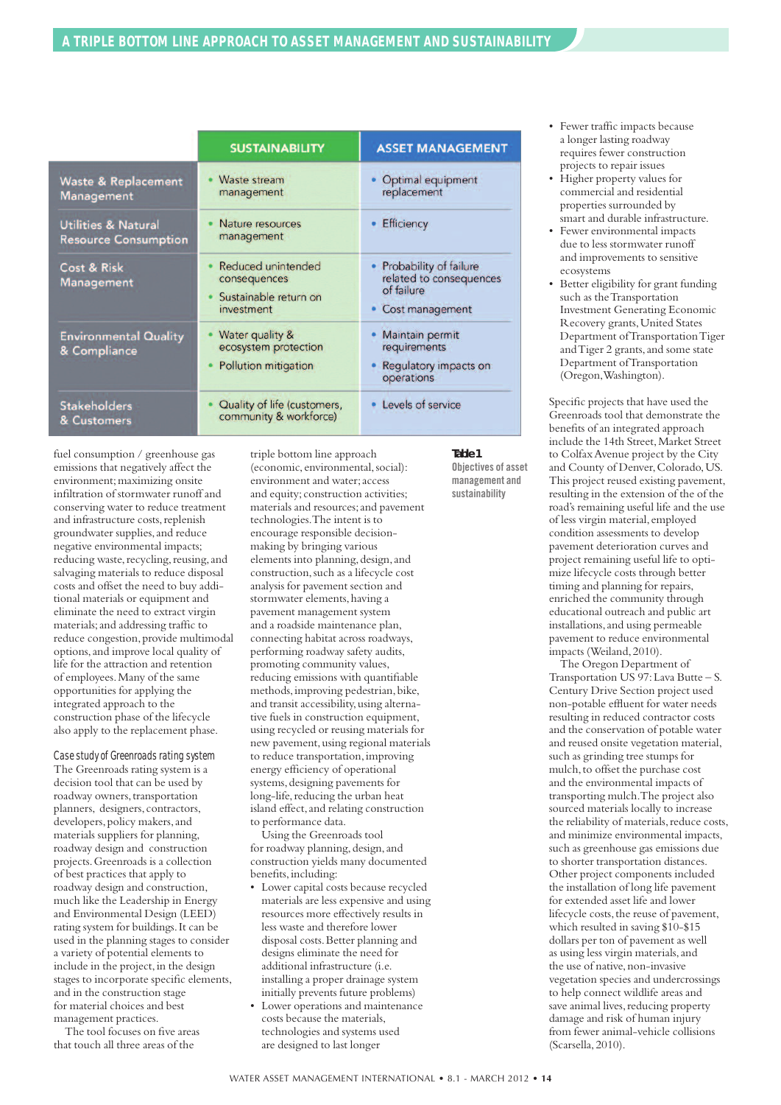|                                                               | <b>SUSTAINABILITY</b>                                                     | <b>ASSET MANAGEMENT</b>                                                              |
|---------------------------------------------------------------|---------------------------------------------------------------------------|--------------------------------------------------------------------------------------|
| <b>Waste &amp; Replacement</b><br><b>Management</b>           | Waste stream<br>management                                                | Optimal equipment<br>replacement                                                     |
| <b>Utilities &amp; Natural</b><br><b>Resource Consumption</b> | Nature resources<br>management                                            | Efficiency                                                                           |
| <b>Cost &amp; Risk</b><br><b>Management</b>                   | Reduced unintended<br>consequences<br>Sustainable return on<br>investment | • Probability of failure<br>related to consequences<br>of failure<br>Cost management |
| <b>Environmental Quality</b><br>& Compliance                  | Water quality &<br>ecosystem protection<br>Pollution mitigation           | Maintain permit<br>requirements<br>Regulatory impacts on<br>operations               |
| <b>Stakeholders</b><br>& Customers                            | Quality of life (customers,<br>community & workforce)                     | • Levels of service                                                                  |

fuel consumption / greenhouse gas emissions that negatively affect the environment; maximizing onsite infiltration of stormwater runoff and conserving water to reduce treatment and infrastructure costs,replenish groundwater supplies,and reduce negative environmental impacts; reducing waste, recycling, reusing, and salvaging materials to reduce disposal costs and offset the need to buy additional materials or equipment and eliminate the need to extract virgin materials;and addressing traffic to reduce congestion, provide multimodal options,and improve local quality of life for the attraction and retention of employees.Many of the same opportunities for applying the integrated approach to the construction phase of the lifecycle also apply to the replacement phase.

#### *Casestudyof Greenroadsrating system*

The Greenroads rating system is a decision tool that can be used by roadway owners, transportation planners, designers, contractors, developers, policy makers, and materials suppliers for planning, roadway design and construction projects.Greenroads is a collection of best practices that apply to roadway design and construction, much like the Leadership in Energy and Environmental Design (LEED) rating system for buildings.It can be used in the planning stages to consider a variety of potential elements to include in the project, in the design stages to incorporate specific elements, and in the construction stage for material choices and best management practices.

The tool focuses on five areas that touch all three areas of the

triple bottom line approach (economic, environmental,social): environment and water;access and equity; construction activities; materials and resources;and pavement technologies.The intent is to encourage responsible decisionmaking by bringing various elements into planning, design, and construction,such as a lifecycle cost analysis for pavement section and stormwater elements, having a pavement management system and a roadside maintenance plan, connecting habitat across roadways, performing roadway safety audits, promoting community values, reducing emissions with quantifiable methods, improving pedestrian, bike, and transit accessibility,using alternative fuels in construction equipment, using recycled or reusing materials for new pavement,using regional materials to reduce transportation,improving energy efficiency of operational systems, designing pavements for long-life, reducing the urban heat island effect, and relating construction to performance data.

Using the Greenroads tool for roadway planning, design, and construction yields many documented benefits,including:

- Lower capital costs because recycled materials are less expensive and using resources more effectively results in less waste and therefore lower disposal costs.Better planning and designs eliminate the need for additional infrastructure (i.e. installing a proper drainage system initially prevents future problems)
- Lower operations and maintenance costs because the materials, technologies and systems used are designed to last longer

#### *Table 1* **Objectives of asset**

**management and sustainability**

- Fewer traffic impacts because a longer lasting roadway requires fewer construction projects to repair issues
- Higher property values for commercial and residential properties surrounded by smart and durable infrastructure.
- Fewer environmental impacts due to less stormwater runoff and improvements to sensitive ecosystems
- Better eligibility for grant funding such as theTransportation Investment Generating Economic Recovery grants,United States Department ofTransportationTiger and Tiger 2 grants, and some state Department ofTransportation (Oregon,Washington).

Specific projects that have used the Greenroads tool that demonstrate the benefits of an integrated approach include the 14th Street,Market Street to ColfaxAvenue project by the City and County of Denver, Colorado, US. This project reused existing pavement, resulting in the extension of the of the road's remaining useful life and the use of less virgin material, employed condition assessments to develop pavement deterioration curves and project remaining useful life to optimize lifecycle costs through better timing and planning for repairs, enriched the community through educational outreach and public art installations, and using permeable pavement to reduce environmental impacts (Weiland,2010).

The Oregon Department of Transportation US 97:Lava Butte – S. Century Drive Section project used non-potable effluent for water needs resulting in reduced contractor costs and the conservation of potable water and reused onsite vegetation material, such as grinding tree stumps for mulch,to offset the purchase cost and the environmental impacts of transporting mulch.The project also sourced materials locally to increase the reliability of materials, reduce costs, and minimize environmental impacts, such as greenhouse gas emissions due to shorter transportation distances. Other project components included the installation of long life pavement for extended asset life and lower lifecycle costs, the reuse of pavement. which resulted in saving \$10-\$15 dollars per ton of pavement as well as using less virgin materials,and the use of native, non-invasive vegetation species and undercrossings to help connect wildlife areas and save animal lives, reducing property damage and risk of human injury from fewer animal-vehicle collisions (Scarsella,2010).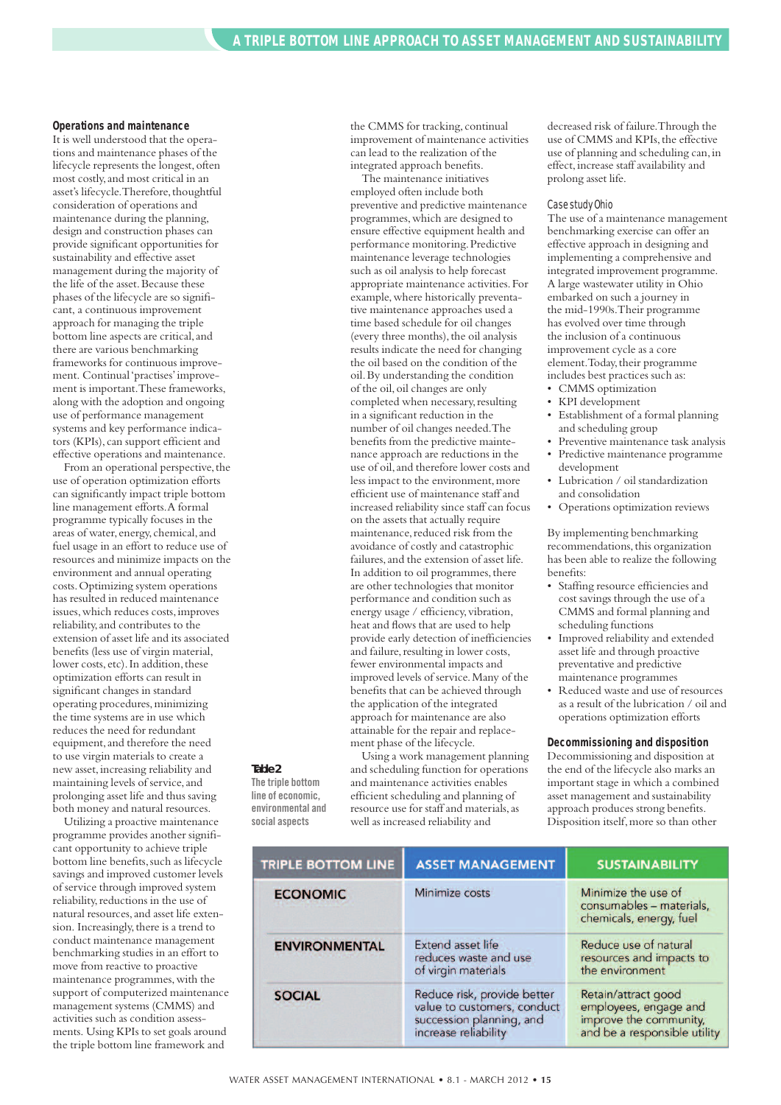#### **Operations and maintenance**

It is well understood that the operations and maintenance phases of the lifecycle represents the longest, often most costly,and most critical in an asset's lifecycle.Therefore,thoughtful consideration of operations and maintenance during the planning, design and construction phases can provide significant opportunities for sustainability and effective asset management during the majority of the life of the asset.Because these phases of the lifecycle are so significant, a continuous improvement approach for managing the triple bottom line aspects are critical,and there are various benchmarking frameworks for continuous improvement. Continual'practises'improvement is important.These frameworks, along with the adoption and ongoing use of performance management systems and key performance indicators (KPIs), can support efficient and effective operations and maintenance.

From an operational perspective, the use of operation optimization efforts can significantly impact triple bottom line management efforts.A formal programme typically focuses in the areas of water, energy, chemical,and fuel usage in an effort to reduce use of resources and minimize impacts on the environment and annual operating costs.Optimizing system operations has resulted in reduced maintenance issues,which reduces costs,improves reliability,and contributes to the extension of asset life and its associated benefits (less use of virgin material, lower costs, etc). In addition, these optimization efforts can result in significant changes in standard operating procedures,minimizing the time systems are in use which reduces the need for redundant equipment,and therefore the need to use virgin materials to create a new asset, increasing reliability and maintaining levels of service, and prolonging asset life and thus saving both money and natural resources.

*Table 2* **The triple bottom line of economic, environmental and social aspects**

Utilizing a proactive maintenance programme provides another significant opportunity to achieve triple bottom line benefits, such as lifecycle savings and improved customer levels of service through improved system reliability, reductions in the use of natural resources,and asset life extension. Increasingly, there is a trend to conduct maintenance management benchmarking studies in an effort to move from reactive to proactive maintenance programmes, with the support of computerized maintenance management systems (CMMS) and activities such as condition assessments. Using KPIs to set goals around the triple bottom line framework and

the CMMS for tracking, continual improvement of maintenance activities can lead to the realization of the integrated approach benefits.

The maintenance initiatives employed often include both preventive and predictive maintenance programmes,which are designed to ensure effective equipment health and performance monitoring.Predictive maintenance leverage technologies such as oil analysis to help forecast appropriate maintenance activities.For example,where historically preventative maintenance approaches used a time based schedule for oil changes (every three months), the oil analysis results indicate the need for changing the oil based on the condition of the oil.By understanding the condition of the oil,oil changes are only completed when necessary, resulting in a significant reduction in the number of oil changes needed.The benefits from the predictive maintenance approach are reductions in the use of oil,and therefore lower costs and less impact to the environment, more efficient use of maintenance staff and increased reliability since staff can focus on the assets that actually require maintenance, reduced risk from the avoidance of costly and catastrophic failures, and the extension of asset life. In addition to oil programmes, there are other technologies that monitor performance and condition such as energy usage / efficiency, vibration, heat and flows that are used to help provide early detection of inefficiencies and failure, resulting in lower costs, fewer environmental impacts and improved levels of service.Many of the benefits that can be achieved through the application of the integrated approach for maintenance are also attainable for the repair and replacement phase of the lifecycle.

Using a work management planning and scheduling function for operations and maintenance activities enables efficient scheduling and planning of resource use for staff and materials,as well as increased reliability and

decreased risk of failure.Through the use of CMMS and KPIs, the effective use of planning and scheduling can, in effect, increase staff availability and prolong asset life.

#### *Casestudy Ohio*

The use of a maintenance management benchmarking exercise can offer an effective approach in designing and implementing a comprehensive and integrated improvement programme. A large wastewater utility in Ohio embarked on such a journey in the mid-1990s.Their programme has evolved over time through the inclusion of a continuous improvement cycle as a core element. Today, their programme includes best practices such as:

- CMMS optimization
- KPI development
- Establishment of a formal planning and scheduling group
- Preventive maintenance task analysis
- Predictive maintenance programme development
- Lubrication / oil standardization and consolidation
- Operations optimization reviews

By implementing benchmarking recommendations,this organization has been able to realize the following benefits:

- Staffing resource efficiencies and cost savings through the use of a CMMS and formal planning and scheduling functions
- Improved reliability and extended asset life and through proactive preventative and predictive maintenance programmes
- Reduced waste and use of resources as a result of the lubrication / oil and operations optimization efforts

#### **Decommissioning and disposition**

Decommissioning and disposition at the end of the lifecycle also marks an important stage in which a combined asset management and sustainability approach produces strong benefits. Disposition itself, more so than other

| <b>TRIPLE BOTTOM LINE</b> | <b>ASSET MANAGEMENT</b>                                                                                        | <b>SUSTAINABILITY</b>                                                                                  |
|---------------------------|----------------------------------------------------------------------------------------------------------------|--------------------------------------------------------------------------------------------------------|
| <b>ECONOMIC</b>           | Minimize costs                                                                                                 | Minimize the use of<br>consumables - materials,<br>chemicals, energy, fuel                             |
| <b>ENVIRONMENTAL</b>      | Extend asset life<br>reduces waste and use<br>of virgin materials                                              | Reduce use of natural<br>resources and impacts to<br>the environment                                   |
| <b>SOCIAL</b>             | Reduce risk, provide better<br>value to customers, conduct<br>succession planning, and<br>increase reliability | Retain/attract good<br>employees, engage and<br>improve the community,<br>and be a responsible utility |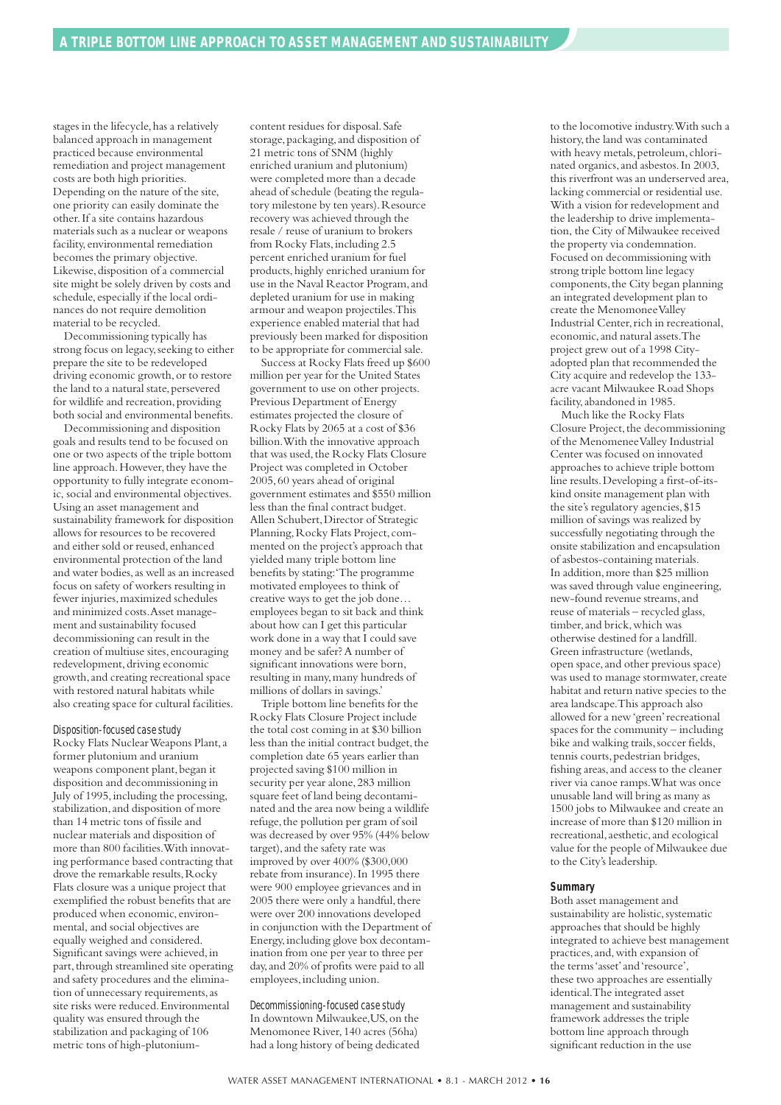stages in the lifecycle, has a relatively balanced approach in management practiced because environmental remediation and project management costs are both high priorities. Depending on the nature of the site, one priority can easily dominate the other.If a site contains hazardous materials such as a nuclear or weapons facility, environmental remediation becomes the primary objective. Likewise, disposition of a commercial site might be solely driven by costs and schedule, especially if the local ordinances do not require demolition material to be recycled.

Decommissioning typically has strong focus on legacy,seeking to either prepare the site to be redeveloped driving economic growth, or to restore the land to a natural state, persevered for wildlife and recreation, providing both social and environmental benefits.

Decommissioning and disposition goals and results tend to be focused on one or two aspects of the triple bottom line approach. However, they have the opportunity to fully integrate economic, social and environmental objectives. Using an asset management and sustainability framework for disposition allows for resources to be recovered and either sold or reused, enhanced environmental protection of the land and water bodies, as well as an increased focus on safety of workers resulting in fewer injuries,maximized schedules and minimized costs.Asset management and sustainability focused decommissioning can result in the creation of multiuse sites, encouraging redevelopment, driving economic growth,and creating recreational space with restored natural habitats while also creating space for cultural facilities.

#### $Disposition$ -focused case study

Rocky Flats NuclearWeapons Plant,a former plutonium and uranium weapons component plant, began it disposition and decommissioning in July of 1995,including the processing, stabilization,and disposition of more than 14 metric tons of fissile and nuclear materials and disposition of more than 800 facilities.With innovating performance based contracting that drove the remarkable results, Rocky Flats closure was a unique project that exemplified the robust benefits that are produced when economic, environmental, and social objectives are equally weighed and considered. Significant savings were achieved,in part, through streamlined site operating and safety procedures and the elimination of unnecessary requirements,as site risks were reduced.Environmental quality was ensured through the stabilization and packaging of 106 metric tons of high-plutoniumcontent residues for disposal.Safe storage, packaging, and disposition of 21 metric tons of SNM (highly enriched uranium and plutonium) were completed more than a decade ahead of schedule (beating the regulatory milestone by ten years). Resource recovery was achieved through the resale / reuse of uranium to brokers from Rocky Flats, including 2.5 percent enriched uranium for fuel products,highly enriched uranium for use in the Naval Reactor Program,and depleted uranium for use in making armour and weapon projectiles.This experience enabled material that had previously been marked for disposition to be appropriate for commercial sale.

Success at Rocky Flats freed up \$600 million per year for the United States government to use on other projects. Previous Department of Energy estimates projected the closure of Rocky Flats by 2065 at a cost of \$36 billion.With the innovative approach that was used, the Rocky Flats Closure Project was completed in October 2005,60 years ahead of original government estimates and \$550 million less than the final contract budget. Allen Schubert,Director of Strategic Planning, Rocky Flats Project, commented on the project's approach that yielded many triple bottom line benefits by stating:'The programme motivated employees to think of creative ways to get the job done… employees began to sit back and think about how can I get this particular work done in a way that I could save money and be safer?A number of significant innovations were born, resulting in many,many hundreds of millions of dollars in savings.'

Triple bottom line benefits for the Rocky Flats Closure Project include the total cost coming in at \$30 billion less than the initial contract budget, the completion date 65 years earlier than projected saving \$100 million in security per year alone,283 million square feet of land being decontaminated and the area now being a wildlife refuge, the pollution per gram of soil was decreased by over 95% (44% below target), and the safety rate was improved by over 400% (\$300,000 rebate from insurance).In 1995 there were 900 employee grievances and in 2005 there were only a handful, there were over 200 innovations developed in conjunction with the Department of Energy,including glove box decontamination from one per year to three per day,and 20% of profits were paid to all employees, including union.

#### $Decommissioning-focused case study$

In downtown Milwaukee,US,on the Menomonee River,140 acres (56ha) had a long history of being dedicated to the locomotive industry.With such a history,the land was contaminated with heavy metals, petroleum, chlorinated organics, and asbestos. In 2003, this riverfront was an underserved area, lacking commercial or residential use. With a vision for redevelopment and the leadership to drive implementation, the City of Milwaukee received the property via condemnation. Focused on decommissioning with strong triple bottom line legacy components, the City began planning an integrated development plan to create the MenomoneeValley Industrial Center, rich in recreational, economic,and natural assets.The project grew out of a 1998 Cityadopted plan that recommended the City acquire and redevelop the 133 acre vacant Milwaukee Road Shops facility, abandoned in 1985.

Much like the Rocky Flats Closure Project, the decommissioning of the MenomeneeValley Industrial Center was focused on innovated approaches to achieve triple bottom line results.Developing a first-of-itskind onsite management plan with the site's regulatory agencies, \$15 million of savings was realized by successfully negotiating through the onsite stabilization and encapsulation of asbestos-containing materials. In addition,more than \$25 million was saved through value engineering, new-found revenue streams,and reuse of materials – recycled glass, timber, and brick, which was otherwise destined for a landfill. Green infrastructure (wetlands, open space,and other previous space) was used to manage stormwater, create habitat and return native species to the area landscape.This approach also allowed for a new 'green' recreational spaces for the community – including bike and walking trails, soccer fields, tennis courts, pedestrian bridges, fishing areas, and access to the cleaner river via canoe ramps.What was once unusable land will bring as many as 1500 jobs to Milwaukee and create an increase of more than \$120 million in recreational,aesthetic,and ecological value for the people of Milwaukee due to the City's leadership.

#### **Summary**

Both asset management and sustainability are holistic, systematic approaches that should be highly integrated to achieve best management practices,and,with expansion of the terms'asset'and'resource', these two approaches are essentially identical.The integrated asset management and sustainability framework addresses the triple bottom line approach through significant reduction in the use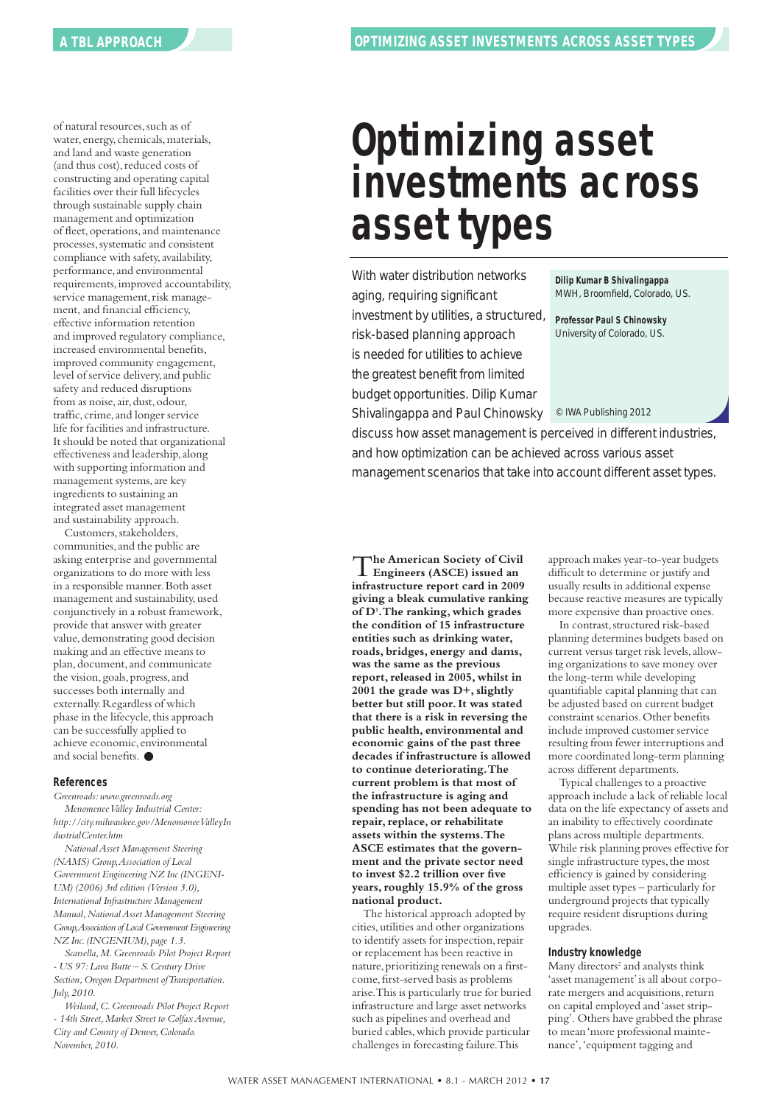of natural resources,such as of water, energy, chemicals, materials, and land and waste generation (and thus cost), reduced costs of constructing and operating capital facilities over their full lifecycles through sustainable supply chain management and optimization of fleet,operations,and maintenance processes, systematic and consistent compliance with safety, availability, performance,and environmental requirements,improved accountability, service management, risk management, and financial efficiency, effective information retention and improved regulatory compliance, increased environmental benefits, improved community engagement, level of service delivery,and public safety and reduced disruptions from as noise, air, dust, odour, traffic, crime,and longer service life for facilities and infrastructure. It should be noted that organizational effectiveness and leadership,along with supporting information and management systems,are key ingredients to sustaining an integrated asset management and sustainability approach.

Customers, stakeholders, communities,and the public are asking enterprise and governmental organizations to do more with less in a responsible manner.Both asset management and sustainability, used conjunctively in a robust framework, provide that answer with greater value, demonstrating good decision making and an effective means to plan, document, and communicate the vision, goals, progress, and successes both internally and externally.Regardless of which phase in the lifecycle, this approach can be successfully applied to achieve economic, environmental and social benefits.  $\bullet$ 

#### **References**

*Greenroads:www.greenroads.org MenomeneeValley Industrial Center: http://city.milwaukee.gov/MenomoneeValleyIn dustrialCenter.htm*

*NationalAsset Management Steering (NAMS) Group,Association of Local Government Engineering NZ Inc (INGENI-UM) (2006) 3rd edition (Version 3.0), International Infrastructure Management Manual,NationalAsset Management Steering Group,Association of LocalGovernmentEngineering NZ Inc.(INGENIUM), page 1.3.*

*Scarsella,M.Greenroads Pilot Project Report - US 97:Lava Butte – S.Century Drive Section,Oregon Department ofTransportation. July,2010.*

*Weiland,C.Greenroads Pilot Project Report - 14th Street,Market Street to ColfaxAvenue, City and County of Denver,Colorado. November,2010.*

# **Optimizing asset investments across asset types**

With water distribution networks aging, requiring significant investment by utilities, a structured, risk-based planning approach is needed for utilities to achieve the greatest benefit from limited budget opportunities. Dilip Kumar

Shivalingappa and Paul Chinowsky

**Dilip Kumar B Shivalingappa** MWH, Broomfield, Colorado, US.

**Professor Paul S Chinowsky** University of Colorado, US.

© IWA Publishing 2012

discuss how asset management is perceived in different industries, and how optimization can be achieved across various asset management scenarios that take into account different asset types.

T**he American Society of Civil Engineers (ASCE) issued an infrastructure report card in 2009 giving a bleak cumulative ranking of D1 .The ranking, which grades the condition of 15 infrastructure entities such as drinking water, roads, bridges, energy and dams, was the same as the previous report,released in 2005, whilst in 2001 the grade was D+,slightly better but still poor.It was stated that there is a risk in reversing the public health, environmental and economic gains of the past three decades if infrastructure is allowed to continue deteriorating.The current problem is that most of the infrastructure is aging and spending has not been adequate to repair,replace, or rehabilitate assets within the systems.The ASCE estimates that the government and the private sector need to invest \$2.2 trillion over five years,roughly 15.9% of the gross national product.**

The historical approach adopted by cities,utilities and other organizations to identify assets for inspection, repair or replacement has been reactive in nature, prioritizing renewals on a firstcome,first-served basis as problems arise.This is particularly true for buried infrastructure and large asset networks such as pipelines and overhead and buried cables,which provide particular challenges in forecasting failure.This

approach makes year-to-year budgets difficult to determine or justify and usually results in additional expense because reactive measures are typically more expensive than proactive ones.

In contrast, structured risk-based planning determines budgets based on current versus target risk levels,allowing organizations to save money over the long-term while developing quantifiable capital planning that can be adjusted based on current budget constraint scenarios.Other benefits include improved customer service resulting from fewer interruptions and more coordinated long-term planning across different departments.

Typical challenges to a proactive approach include a lack of reliable local data on the life expectancy of assets and an inability to effectively coordinate plans across multiple departments. While risk planning proves effective for single infrastructure types, the most efficiency is gained by considering multiple asset types – particularly for underground projects that typically require resident disruptions during upgrades.

#### **Industry knowledge**

Many directors <sup>2</sup> and analysts think 'asset management'is all about corporate mergers and acquisitions, return on capital employed and'asset stripping'. Others have grabbed the phrase to mean'more professional maintenance','equipment tagging and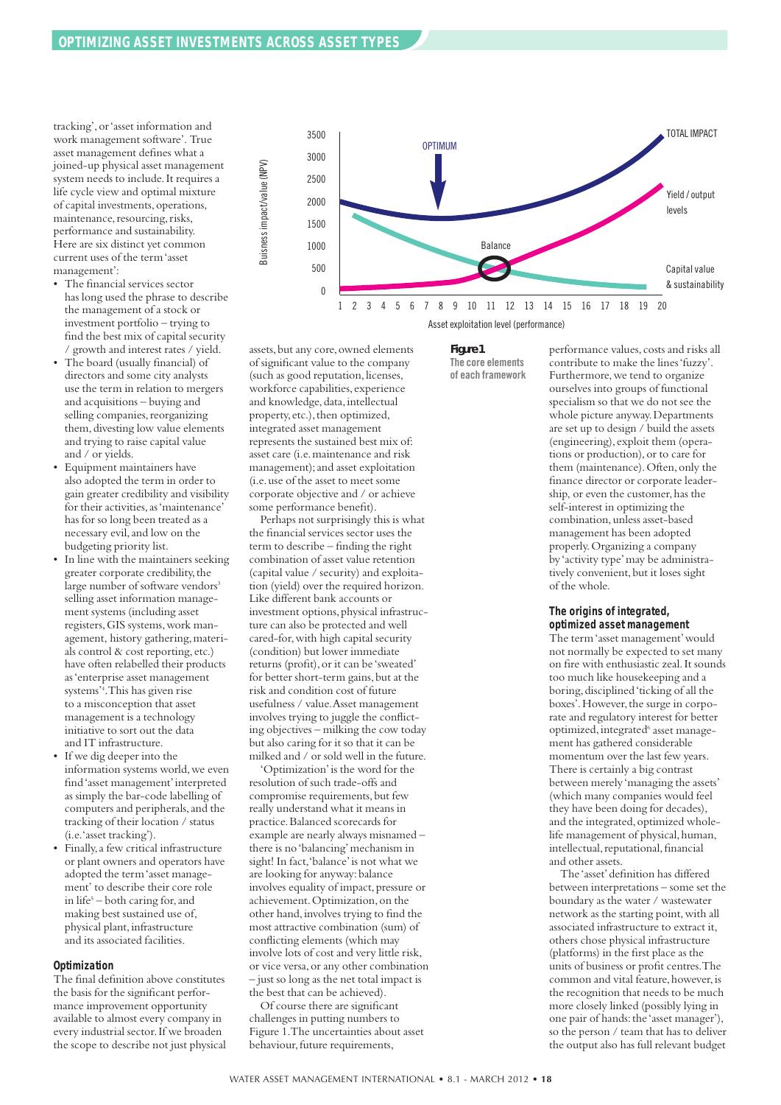tracking',or'asset information and work management software'. True asset management defines what a joined-up physical asset management system needs to include.It requires a life cycle view and optimal mixture of capital investments,operations, maintenance, resourcing, risks, performance and sustainability. Here are six distinct yet common current uses of the term'asset management':

- The financial services sector has long used the phrase to describe the management of a stock or investment portfolio – trying to find the best mix of capital security / growth and interest rates / yield.
- The board (usually financial) of directors and some city analysts use the term in relation to mergers and acquisitions – buying and selling companies, reorganizing them, divesting low value elements and trying to raise capital value and / or yields.
- Equipment maintainers have also adopted the term in order to gain greater credibility and visibility for their activities,as'maintenance' has for so long been treated as a necessary evil,and low on the budgeting priority list.
- In line with the maintainers seeking greater corporate credibility,the large number of software vendors<sup>3</sup> selling asset information management systems (including asset registers,GIS systems,work management, history gathering,materials control & cost reporting, etc.) have often relabelled their products as'enterprise asset management systems' 4 .This has given rise to a misconception that asset management is a technology initiative to sort out the data and IT infrastructure.
- If we dig deeper into the information systems world,we even find'asset management'interpreted as simply the bar-code labelling of computers and peripherals,and the tracking of their location / status (i.e.'asset tracking').
- Finally,a few critical infrastructure or plant owners and operators have adopted the term'asset management' to describe their core role in life5 – both caring for,and making best sustained use of, physical plant, infrastructure and its associated facilities.

#### **Optimization**

The final definition above constitutes the basis for the significant performance improvement opportunity available to almost every company in every industrial sector.If we broaden the scope to describe not just physical

![](_page_17_Figure_10.jpeg)

assets, but any core, owned elements of significant value to the company (such as good reputation, licenses, workforce capabilities, experience and knowledge, data, intellectual property, etc.), then optimized, integrated asset management represents the sustained best mix of: asset care (i.e.maintenance and risk management);and asset exploitation (i.e.use of the asset to meet some corporate objective and / or achieve some performance benefit).

Perhaps not surprisingly this is what the financial services sector uses the term to describe – finding the right combination of asset value retention (capital value / security) and exploitation (yield) over the required horizon. Like different bank accounts or investment options,physical infrastructure can also be protected and well cared-for,with high capital security (condition) but lower immediate returns (profit), or it can be 'sweated' for better short-term gains, but at the risk and condition cost of future usefulness / value.Asset management involves trying to juggle the conflicting objectives – milking the cow today but also caring for it so that it can be milked and / or sold well in the future.

'Optimization'is the word for the resolution of such trade-offs and compromise requirements, but few really understand what it means in practice.Balanced scorecards for example are nearly always misnamed – there is no'balancing'mechanism in sight! In fact,'balance'is not what we are looking for anyway:balance involves equality of impact, pressure or achievement.Optimization,on the other hand,involves trying to find the most attractive combination (sum) of conflicting elements (which may involve lots of cost and very little risk, or vice versa,or any other combination – just so long as the net total impact is the best that can be achieved).

Of course there are significant challenges in putting numbers to Figure 1.The uncertainties about asset behaviour, future requirements,

*Figure 1* **The core elements of each framework** performance values, costs and risks all contribute to make the lines'fuzzy'. Furthermore, we tend to organize ourselves into groups of functional specialism so that we do not see the whole picture anyway.Departments are set up to design / build the assets (engineering), exploit them (operations or production), or to care for them (maintenance).Often,only the finance director or corporate leadership, or even the customer, has the self-interest in optimizing the combination,unless asset-based management has been adopted properly.Organizing a company by 'activity type'may be administratively convenient, but it loses sight of the whole.

#### **The origins of integrated, optimized asset management**

The term'asset management'would not normally be expected to set many on fire with enthusiastic zeal.It sounds too much like housekeeping and a boring, disciplined 'ticking of all the boxes'. However, the surge in corporate and regulatory interest for better optimized, integrated<sup>6</sup> asset management has gathered considerable momentum over the last few years. There is certainly a big contrast between merely 'managing the assets' (which many companies would feel they have been doing for decades), and the integrated, optimized wholelife management of physical, human, intellectual, reputational, financial and other assets.

The 'asset'definition has differed between interpretations – some set the boundary as the water / wastewater network as the starting point,with all associated infrastructure to extract it, others chose physical infrastructure (platforms) in the first place as the units of business or profit centres.The common and vital feature, however, is the recognition that needs to be much more closely linked (possibly lying in one pair of hands: the 'asset manager'), so the person / team that has to deliver the output also has full relevant budget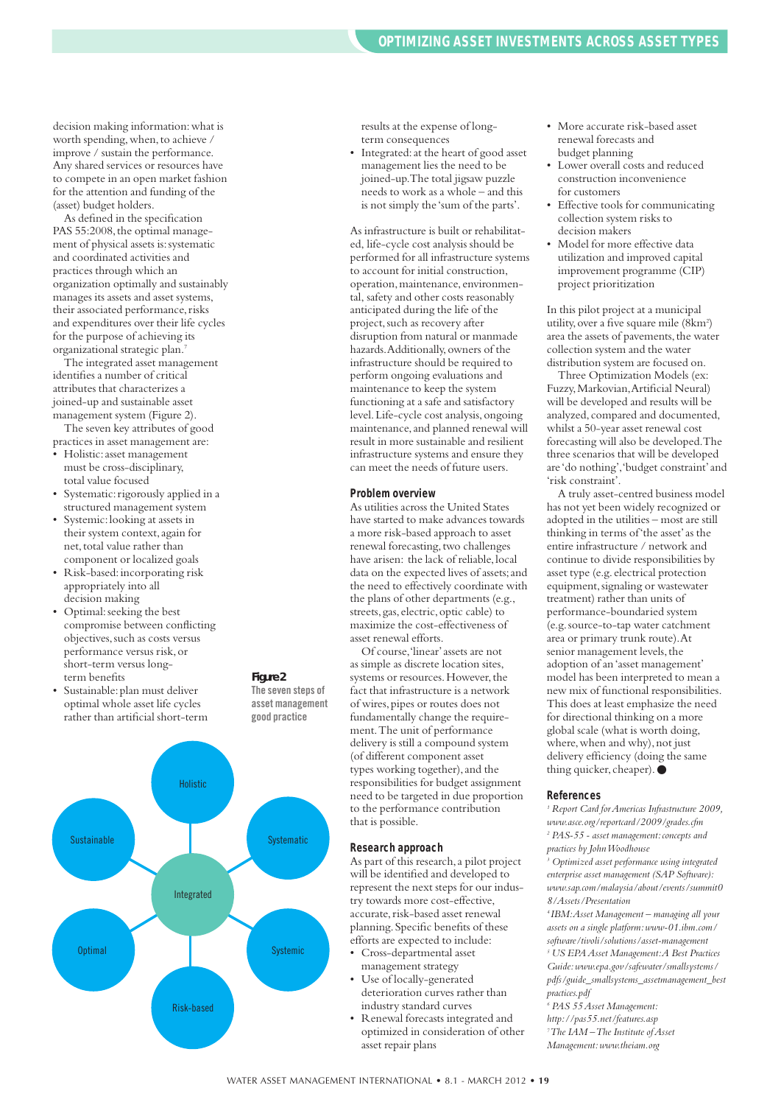decision making information:what is worth spending, when, to achieve / improve / sustain the performance. Any shared services or resources have to compete in an open market fashion for the attention and funding of the (asset) budget holders.

As defined in the specification PAS 55:2008, the optimal management of physical assets is: systematic and coordinated activities and practices through which an organization optimally and sustainably manages its assets and asset systems, their associated performance,risks and expenditures over their life cycles for the purpose of achieving its organizational strategic plan. 7

The integrated asset management identifies a number of critical attributes that characterizes a joined-up and sustainable asset management system (Figure 2).

The seven key attributes of good practices in asset management are:

- Holistic:asset management must be cross-disciplinary, total value focused
- Systematic: rigorously applied in a structured management system
- Systemic: looking at assets in their system context,again for net, total value rather than component or localized goals
- Risk-based:incorporating risk appropriately into all decision making
- Optimal:seeking the best compromise between conflicting objectives, such as costs versus performance versus risk,or short-term versus longterm benefits
- Sustainable: plan must deliver optimal whole asset life cycles rather than artificial short-term

![](_page_18_Figure_11.jpeg)

*Figure 2* **The seven steps of asset management good practice**

results at the expense of longterm consequences

• Integrated:at the heart of good asset management lies the need to be joined-up.The total jigsaw puzzle needs to work as a whole – and this is not simply the 'sum of the parts'.

As infrastructure is built or rehabilitated, life-cycle cost analysis should be performed for all infrastructure systems to account for initial construction, operation,maintenance, environmental, safety and other costs reasonably anticipated during the life of the project, such as recovery after disruption from natural or manmade hazards.Additionally,owners of the infrastructure should be required to perform ongoing evaluations and maintenance to keep the system functioning at a safe and satisfactory level.Life-cycle cost analysis,ongoing maintenance, and planned renewal will result in more sustainable and resilient infrastructure systems and ensure they can meet the needs of future users.

#### **Problem overview**

As utilities across the United States have started to make advances towards a more risk-based approach to asset renewal forecasting, two challenges have arisen: the lack of reliable, local data on the expected lives of assets;and the need to effectively coordinate with the plans of other departments (e.g., streets, gas, electric, optic cable) to maximize the cost-effectiveness of asset renewal efforts.

Of course,'linear'assets are not as simple as discrete location sites, systems or resources. However, the fact that infrastructure is a network of wires,pipes or routes does not fundamentally change the requirement.The unit of performance delivery is still a compound system (of different component asset types working together), and the responsibilities for budget assignment need to be targeted in due proportion to the performance contribution that is possible.

#### **Research approach**

As part of this research,a pilot project will be identified and developed to represent the next steps for our industry towards more cost-effective, accurate, risk-based asset renewal planning.Specific benefits of these efforts are expected to include:

- Cross-departmental asset management strategy
- Use of locally-generated deterioration curves rather than industry standard curves
- Renewal forecasts integrated and optimized in consideration of other asset repair plans
- More accurate risk-based asset renewal forecasts and budget planning
- Lower overall costs and reduced construction inconvenience for customers
- Effective tools for communicating collection system risks to decision makers
- Model for more effective data utilization and improved capital improvement programme (CIP) project prioritization

In this pilot project at a municipal utility, over a five square mile (8km<sup>2</sup>) area the assets of pavements, the water collection system and the water distribution system are focused on.

Three Optimization Models (ex: Fuzzy,Markovian,Artificial Neural) will be developed and results will be analyzed, compared and documented, whilst a 50-year asset renewal cost forecasting will also be developed.The three scenarios that will be developed are 'do nothing','budget constraint'and 'risk constraint'.

A truly asset-centred business model has not yet been widely recognized or adopted in the utilities – most are still thinking in terms of'the asset'as the entire infrastructure / network and continue to divide responsibilities by asset type (e.g. electrical protection equipment,signaling or wastewater treatment) rather than units of performance-boundaried system (e.g.source-to-tap water catchment area or primary trunk route).At senior management levels, the adoption of an'asset management' model has been interpreted to mean a new mix of functional responsibilities. This does at least emphasize the need for directional thinking on a more global scale (what is worth doing, where, when and why), not just delivery efficiency (doing the same thing quicker, cheaper).●

#### **References**

*<sup>1</sup> Report Card forAmericas Infrastructure 2009, www.asce.org/reportcard/2009/grades.cfm <sup>2</sup> PAS-55 - asset management:concepts and*

*practices by JohnWoodhouse*

*<sup>3</sup> Optimized asset performance using integrated enterprise asset management (SAP Software): www.sap.com/malaysia/about/events/summit0 8/Assets/Presentation*

*<sup>4</sup> IBM:Asset Management – managing all your assets on a single platform:www-01.ibm.com/ software/tivoli/solutions/asset-management <sup>5</sup> US EPAAsset Management:A Best Practices Guide:www.epa.gov/safewater/smallsystems/ pdfs/guide\_smallsystems\_assetmanagement\_best practices.pdf*

- *<sup>6</sup> PAS 55Asset Management:*
- *http://pas55.net/features.asp 7 The IAM –The Institute ofAsset Management:www.theiam.org*